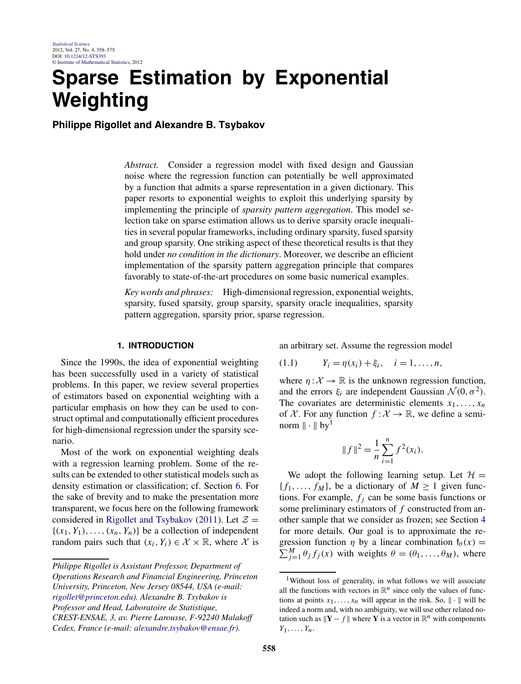# <span id="page-0-0"></span>**Sparse Estimation by Exponential Weighting**

**Philippe Rigollet and Alexandre B. Tsybakov**

*Abstract.* Consider a regression model with fixed design and Gaussian noise where the regression function can potentially be well approximated by a function that admits a sparse representation in a given dictionary. This paper resorts to exponential weights to exploit this underlying sparsity by implementing the principle of *sparsity pattern aggregation*. This model selection take on sparse estimation allows us to derive sparsity oracle inequalities in several popular frameworks, including ordinary sparsity, fused sparsity and group sparsity. One striking aspect of these theoretical results is that they hold under *no condition in the dictionary*. Moreover, we describe an efficient implementation of the sparsity pattern aggregation principle that compares favorably to state-of-the-art procedures on some basic numerical examples.

*Key words and phrases:* High-dimensional regression, exponential weights, sparsity, fused sparsity, group sparsity, sparsity oracle inequalities, sparsity pattern aggregation, sparsity prior, sparse regression.

# **1. INTRODUCTION**

Since the 1990s, the idea of exponential weighting has been successfully used in a variety of statistical problems. In this paper, we review several properties of estimators based on exponential weighting with a particular emphasis on how they can be used to construct optimal and computationally efficient procedures for high-dimensional regression under the sparsity scenario.

Most of the work on exponential weighting deals with a regression learning problem. Some of the results can be extended to other statistical models such as density estimation or classification; cf. Section [6.](#page-9-0) For the sake of brevity and to make the presentation more transparent, we focus here on the following framework considered in [Rigollet and Tsybakov](#page-17-0) [\(2011\)](#page-17-0). Let  $\mathcal{Z} =$  $\{(x_1, Y_1), \ldots, (x_n, Y_n)\}\)$  be a collection of independent random pairs such that  $(x_i, Y_i) \in \mathcal{X} \times \mathbb{R}$ , where  $\mathcal{X}$  is

an arbitrary set. Assume the regression model

$$
(1.1) \t Y_i = \eta(x_i) + \xi_i, \t i = 1, ..., n,
$$

where  $\eta: \mathcal{X} \to \mathbb{R}$  is the unknown regression function, and the errors  $\xi_i$  are independent Gaussian  $\mathcal{N}(0, \sigma^2)$ . The covariates are deterministic elements  $x_1, \ldots, x_n$ of X. For any function  $f: X \to \mathbb{R}$ , we define a seminorm  $\|\cdot\|$  by<sup>1</sup>

$$
||f||^2 = \frac{1}{n} \sum_{i=1}^n f^2(x_i).
$$

We adopt the following learning setup. Let  $\mathcal{H} =$  ${f_1, \ldots, f_M}$ , be a dictionary of  $M \ge 1$  given functions. For example,  $f_i$  can be some basis functions or some preliminary estimators of *f* constructed from another sample that we consider as frozen; see Section [4](#page-4-0) for more details. Our goal is to approximate the regression function  $\eta$  by a linear combination  $f_\theta(x) =$  $\sum_{j=1}^{M} \theta_j f_j(x)$  with weights  $\theta = (\theta_1, \dots, \theta_M)$ , where

*Philippe Rigollet is Assistant Professor, Department of Operations Research and Financial Engineering, Princeton University, Princeton, New Jersey 08544, USA (e-mail: [rigollet@princeton.edu](mailto:rigollet@princeton.edu)). Alexandre B. Tsybakov is Professor and Head, Laboratoire de Statistique, CREST-ENSAE, 3, av. Pierre Larousse, F-92240 Malakoff Cedex, France (e-mail: [alexandre.tsybakov@ensae.fr\)](mailto:alexandre.tsybakov@ensae.fr).*

<sup>1</sup>Without loss of generality, in what follows we will associate all the functions with vectors in  $\mathbb{R}^n$  since only the values of functions at points  $x_1, \ldots, x_n$  will appear in the risk. So,  $\|\cdot\|$  will be indeed a norm and, with no ambiguity, we will use other related notation such as  $\|\mathbf{Y} - f\|$  where **Y** is a vector in  $\mathbb{R}^n$  with components  $Y_1,\ldots,Y_n$ .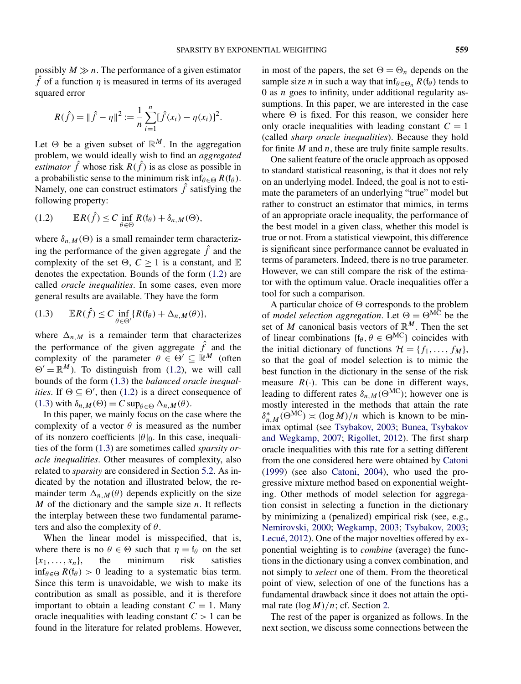<span id="page-1-0"></span>possibly  $M \gg n$ . The performance of a given estimator  $\hat{f}$  of a function  $\eta$  is measured in terms of its averaged squared error

$$
R(\hat{f}) = ||\hat{f} - \eta||^2 := \frac{1}{n} \sum_{i=1}^n [\hat{f}(x_i) - \eta(x_i)]^2.
$$

Let  $\Theta$  be a given subset of  $\mathbb{R}^M$ . In the aggregation problem, we would ideally wish to find an *aggregated estimator*  $\hat{f}$  whose risk  $R(\hat{f})$  is as close as possible in a probabilistic sense to the minimum risk inf $_{\theta \in \Theta} R(f_{\theta})$ . Namely, one can construct estimators  $\hat{f}$  satisfying the following property:

(1.2) 
$$
\mathbb{E}R(\hat{f}) \leq C \inf_{\theta \in \Theta} R(f_{\theta}) + \delta_{n,M}(\Theta),
$$

where  $\delta_{n,M}(\Theta)$  is a small remainder term characterizing the performance of the given aggregate  $\hat{f}$  and the complexity of the set  $\Theta$ ,  $C > 1$  is a constant, and  $\mathbb E$ denotes the expectation. Bounds of the form (1.2) are called *oracle inequalities*. In some cases, even more general results are available. They have the form

$$
(1.3) \qquad \mathbb{E}R(\hat{f}) \leq C \inf_{\theta \in \Theta'} \{ R(f_{\theta}) + \Delta_{n,M}(\theta) \},
$$

where  $\Delta_{n,M}$  is a remainder term that characterizes the performance of the given aggregate  $\hat{f}$  and the complexity of the parameter  $\theta \in \Theta' \subseteq \mathbb{R}^M$  (often  $\Theta' = \mathbb{R}^M$ ). To distinguish from (1.2), we will call bounds of the form (1.3) the *balanced oracle inequalities*. If  $\Theta \subseteq \Theta'$ , then (1.2) is a direct consequence of  $(1.3)$  with  $\delta_{n,M}(\Theta) = C \sup_{\theta \in \Theta} \Delta_{n,M}(\theta)$ .

In this paper, we mainly focus on the case where the complexity of a vector  $\theta$  is measured as the number of its nonzero coefficients  $|\theta|_0$ . In this case, inequalities of the form (1.3) are sometimes called *sparsity oracle inequalities*. Other measures of complexity, also related to *sparsity* are considered in Section [5.2.](#page-6-0) As indicated by the notation and illustrated below, the remainder term  $\Delta_{n,M}(\theta)$  depends explicitly on the size *M* of the dictionary and the sample size *n*. It reflects the interplay between these two fundamental parameters and also the complexity of *θ*.

When the linear model is misspecified, that is, where there is no  $\theta \in \Theta$  such that  $\eta = \mathfrak{f}_{\theta}$  on the set  ${x_1, \ldots, x_n}$ , the minimum risk satisfies  $\inf_{\theta \in \Theta} R(f_{\theta}) > 0$  leading to a systematic bias term. Since this term is unavoidable, we wish to make its contribution as small as possible, and it is therefore important to obtain a leading constant  $C = 1$ . Many oracle inequalities with leading constant *C >* 1 can be found in the literature for related problems. However, in most of the papers, the set  $\Theta = \Theta_n$  depends on the sample size *n* in such a way that  $\inf_{\theta \in \Theta_n} R(f_\theta)$  tends to 0 as *n* goes to infinity, under additional regularity assumptions. In this paper, we are interested in the case where  $\Theta$  is fixed. For this reason, we consider here only oracle inequalities with leading constant  $C = 1$ (called *sharp oracle inequalities*). Because they hold for finite *M* and *n*, these are truly finite sample results.

One salient feature of the oracle approach as opposed to standard statistical reasoning, is that it does not rely on an underlying model. Indeed, the goal is not to estimate the parameters of an underlying "true" model but rather to construct an estimator that mimics, in terms of an appropriate oracle inequality, the performance of the best model in a given class, whether this model is true or not. From a statistical viewpoint, this difference is significant since performance cannot be evaluated in terms of parameters. Indeed, there is no true parameter. However, we can still compare the risk of the estimator with the optimum value. Oracle inequalities offer a tool for such a comparison.

A particular choice of  $\Theta$  corresponds to the problem of *model selection aggregation*. Let  $\Theta = \Theta^{MC}$  be the set of *M* canonical basis vectors of  $\mathbb{R}^M$ . Then the set of linear combinations  $\{f_\theta, \theta \in \Theta^{MC}\}\)$  coincides with the initial dictionary of functions  $\mathcal{H} = \{f_1, \ldots, f_M\}$ , so that the goal of model selection is to mimic the best function in the dictionary in the sense of the risk measure  $R(\cdot)$ . This can be done in different ways, leading to different rates  $\delta_{n,M}(\Theta^{MC})$ ; however one is mostly interested in the methods that attain the rate  $\delta_{n,M}^*(\Theta^{MC}) \asymp (\log M)/n$  which is known to be minimax optimal (see [Tsybakov, 2003;](#page-17-0) [Bunea, Tsybakov](#page-16-0) [and Wegkamp, 2007;](#page-16-0) [Rigollet, 2012\)](#page-17-0). The first sharp oracle inequalities with this rate for a setting different from the one considered here were obtained by [Catoni](#page-16-0) [\(1999\)](#page-16-0) (see also [Catoni, 2004\)](#page-16-0), who used the progressive mixture method based on exponential weighting. Other methods of model selection for aggregation consist in selecting a function in the dictionary by minimizing a (penalized) empirical risk (see, e.g., [Nemirovski, 2000;](#page-16-0) [Wegkamp, 2003;](#page-17-0) [Tsybakov, 2003;](#page-17-0) [Lecué, 2012\)](#page-16-0). One of the major novelties offered by exponential weighting is to *combine* (average) the functions in the dictionary using a convex combination, and not simply to *select* one of them. From the theoretical point of view, selection of one of the functions has a fundamental drawback since it does not attain the optimal rate *(*log*M)/n*; cf. Section [2.](#page-2-0)

The rest of the paper is organized as follows. In the next section, we discuss some connections between the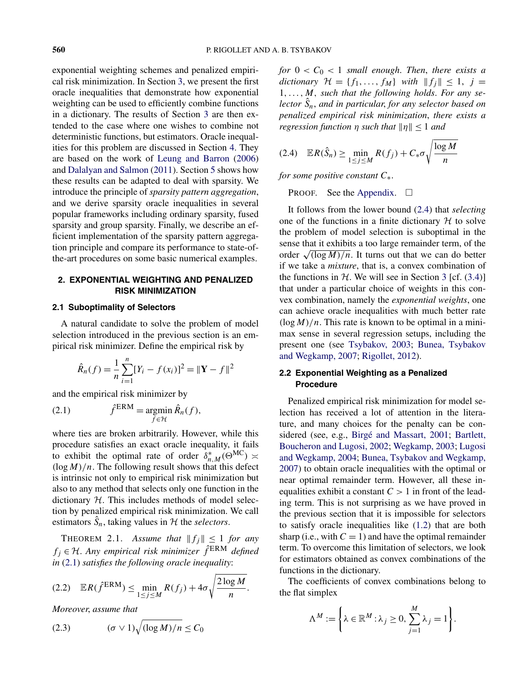<span id="page-2-0"></span>exponential weighting schemes and penalized empirical risk minimization. In Section [3,](#page-3-0) we present the first oracle inequalities that demonstrate how exponential weighting can be used to efficiently combine functions in a dictionary. The results of Section [3](#page-3-0) are then extended to the case where one wishes to combine not deterministic functions, but estimators. Oracle inequalities for this problem are discussed in Section [4.](#page-4-0) They are based on the work of [Leung and Barron](#page-16-0) [\(2006\)](#page-16-0) and [Dalalyan and Salmon](#page-16-0) [\(2011\)](#page-16-0). Section [5](#page-5-0) shows how these results can be adapted to deal with sparsity. We introduce the principle of *sparsity pattern aggregation*, and we derive sparsity oracle inequalities in several popular frameworks including ordinary sparsity, fused sparsity and group sparsity. Finally, we describe an efficient implementation of the sparsity pattern aggregation principle and compare its performance to state-ofthe-art procedures on some basic numerical examples.

# **2. EXPONENTIAL WEIGHTING AND PENALIZED RISK MINIMIZATION**

## **2.1 Suboptimality of Selectors**

A natural candidate to solve the problem of model selection introduced in the previous section is an empirical risk minimizer. Define the empirical risk by

$$
\hat{R}_n(f) = \frac{1}{n} \sum_{i=1}^n [Y_i - f(x_i)]^2 = ||\mathbf{Y} - f||^2
$$

and the empirical risk minimizer by

(2.1) 
$$
\hat{f}^{ERM} = \underset{f \in \mathcal{H}}{\operatorname{argmin}} \hat{R}_n(f),
$$

where ties are broken arbitrarily. However, while this procedure satisfies an exact oracle inequality, it fails to exhibit the optimal rate of order  $\delta_{n,M}^* (\Theta^{MC}) \approx$  $(\log M)/n$ . The following result shows that this defect is intrinsic not only to empirical risk minimization but also to any method that selects only one function in the dictionary  $H$ . This includes methods of model selection by penalized empirical risk minimization. We call estimators  $\hat{S}_n$ , taking values in  $H$  the *selectors*.

THEOREM 2.1. Assume that  $||f_j|| \le 1$  for any  $f_j \in H$ . Any empirical risk minimizer  $\hat{f}^{\text{ERM}}$  defined *in* (2.1) *satisfies the following oracle inequality*:

$$
(2.2) \quad \mathbb{E}R(\hat{f}^{\text{ERM}}) \leq \min_{1 \leq j \leq M} R(f_j) + 4\sigma \sqrt{\frac{2\log M}{n}}.
$$

*Moreover*, *assume that*

$$
(2.3) \qquad (\sigma \vee 1)\sqrt{(\log M)/n} \le C_0
$$

*for*  $0 < C_0 < 1$  *small enough. Then, there exists a dictionary*  $\mathcal{H} = \{f_1, \ldots, f_M\}$  *with*  $||f_j|| \leq 1$ ,  $j =$ 1*,...,M, such that the following holds*. *For any selector S*ˆ *<sup>n</sup>*, *and in particular*, *for any selector based on penalized empirical risk minimization*, *there exists a regression function*  $\eta$  *such that*  $||\eta|| \leq 1$  *and* 

$$
(2.4) \quad \mathbb{E}R(\hat{S}_n) \ge \min_{1 \le j \le M} R(f_j) + C_* \sigma \sqrt{\frac{\log M}{n}}
$$

*for some positive constant C*∗.

PROOF. See the [Appendix.](#page-13-0)  $\square$ 

It follows from the lower bound (2.4) that *selecting* one of the functions in a finite dictionary  $H$  to solve the problem of model selection is suboptimal in the sense that it exhibits a too large remainder term, of the order  $\sqrt{\frac{\log M}{n}}$ . It turns out that we can do better if we take a *mixture*, that is, a convex combination of the functions in  $H$ . We will see in Section [3](#page-3-0) [cf. [\(3.4\)](#page-4-0)] that under a particular choice of weights in this convex combination, namely the *exponential weights*, one can achieve oracle inequalities with much better rate  $(\log M)/n$ . This rate is known to be optimal in a minimax sense in several regression setups, including the present one (see [Tsybakov, 2003;](#page-17-0) [Bunea, Tsybakov](#page-16-0) [and Wegkamp, 2007;](#page-16-0) [Rigollet, 2012\)](#page-17-0).

# **2.2 Exponential Weighting as a Penalized Procedure**

Penalized empirical risk minimization for model selection has received a lot of attention in the literature, and many choices for the penalty can be considered (see, e.g., [Birgé and Massart, 2001;](#page-16-0) [Bartlett,](#page-16-0) [Boucheron and Lugosi, 2002;](#page-16-0) [Wegkamp, 2003;](#page-17-0) [Lugosi](#page-16-0) [and Wegkamp, 2004;](#page-16-0) [Bunea, Tsybakov and Wegkamp,](#page-16-0) [2007\)](#page-16-0) to obtain oracle inequalities with the optimal or near optimal remainder term. However, all these inequalities exhibit a constant  $C > 1$  in front of the leading term. This is not surprising as we have proved in the previous section that it is impossible for selectors to satisfy oracle inequalities like [\(1.2\)](#page-1-0) that are both sharp (i.e., with  $C = 1$ ) and have the optimal remainder term. To overcome this limitation of selectors, we look for estimators obtained as convex combinations of the functions in the dictionary.

The coefficients of convex combinations belong to the flat simplex

$$
\Lambda^M := \left\{ \lambda \in \mathbb{R}^M : \lambda_j \ge 0, \sum_{j=1}^M \lambda_j = 1 \right\}.
$$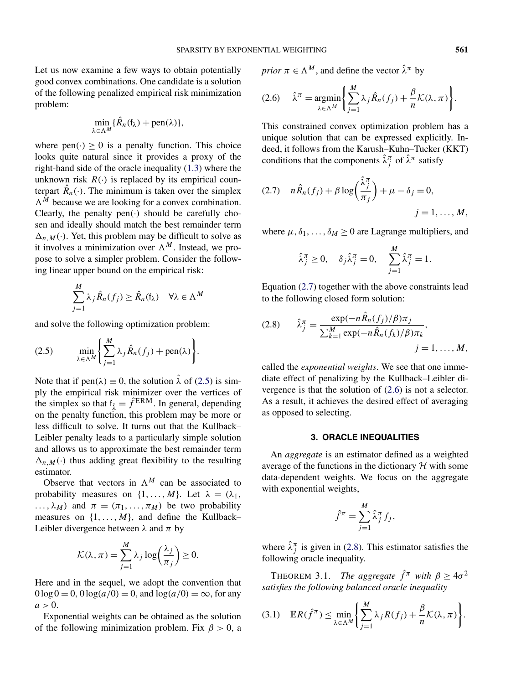<span id="page-3-0"></span>Let us now examine a few ways to obtain potentially good convex combinations. One candidate is a solution of the following penalized empirical risk minimization problem:

$$
\min_{\lambda \in \Lambda^M} \{ \hat{R}_n(\mathfrak{f}_{\lambda}) + \text{pen}(\lambda) \},
$$

where  $pen(\cdot) \ge 0$  is a penalty function. This choice looks quite natural since it provides a proxy of the right-hand side of the oracle inequality [\(1.3\)](#page-1-0) where the unknown risk  $R(\cdot)$  is replaced by its empirical counterpart  $\hat{R}_n(\cdot)$ . The minimum is taken over the simplex  $\Lambda^M$  because we are looking for a convex combination. Clearly, the penalty pen $(\cdot)$  should be carefully chosen and ideally should match the best remainder term  $\Delta_{n,M}(\cdot)$ . Yet, this problem may be difficult to solve as it involves a minimization over  $\Lambda^M$ . Instead, we propose to solve a simpler problem. Consider the following linear upper bound on the empirical risk:

$$
\sum_{j=1}^{M} \lambda_j \hat{R}_n(f_j) \ge \hat{R}_n(\mathbf{f}_{\lambda}) \quad \forall \lambda \in \Lambda^M
$$

and solve the following optimization problem:

(2.5) 
$$
\min_{\lambda \in \Lambda^M} \left\{ \sum_{j=1}^M \lambda_j \hat{R}_n(f_j) + \text{pen}(\lambda) \right\}.
$$

Note that if pen $(\lambda) \equiv 0$ , the solution  $\hat{\lambda}$  of (2.5) is simply the empirical risk minimizer over the vertices of the simplex so that  $f_{\hat{\lambda}} = \hat{f}^{ERM}$ . In general, depending on the penalty function, this problem may be more or less difficult to solve. It turns out that the Kullback– Leibler penalty leads to a particularly simple solution and allows us to approximate the best remainder term  $\Delta_{n,M}(\cdot)$  thus adding great flexibility to the resulting estimator.

Observe that vectors in  $\Lambda^M$  can be associated to probability measures on  $\{1, \ldots, M\}$ . Let  $\lambda = (\lambda_1, \ldots, \lambda_N)$  $\ldots, \lambda_M$ ) and  $\pi = (\pi_1, \ldots, \pi_M)$  be two probability measures on  $\{1, \ldots, M\}$ , and define the Kullback– Leibler divergence between  $\lambda$  and  $\pi$  by

$$
\mathcal{K}(\lambda, \pi) = \sum_{j=1}^{M} \lambda_j \log \left( \frac{\lambda_j}{\pi_j} \right) \ge 0.
$$

Here and in the sequel, we adopt the convention that  $0 \log 0 = 0$ ,  $0 \log(a/0) = 0$ , and  $\log(a/0) = \infty$ , for any  $a > 0$ .

Exponential weights can be obtained as the solution of the following minimization problem. Fix  $\beta > 0$ , a *prior*  $\pi \in \Lambda^M$ , and define the vector  $\hat{\lambda}^{\pi}$  by

$$
(2.6) \quad \hat{\lambda}^{\pi} = \underset{\lambda \in \Lambda^M}{\operatorname{argmin}} \bigg\{ \sum_{j=1}^M \lambda_j \hat{R}_n(f_j) + \frac{\beta}{n} \mathcal{K}(\lambda, \pi) \bigg\}.
$$

This constrained convex optimization problem has a unique solution that can be expressed explicitly. Indeed, it follows from the Karush–Kuhn–Tucker (KKT) conditions that the components  $\hat{\lambda}_j^{\pi}$  of  $\hat{\lambda}^{\pi}$  satisfy

$$
(2.7) \quad n\hat{R}_n(f_j) + \beta \log \left(\frac{\hat{\lambda}_j^{\pi}}{\pi_j}\right) + \mu - \delta_j = 0,
$$
  

$$
j = 1, ..., M,
$$

where  $\mu$ ,  $\delta_1$ , ...,  $\delta_M \geq 0$  are Lagrange multipliers, and

$$
\hat{\lambda}_{j}^{\pi} \ge 0, \quad \delta_{j} \hat{\lambda}_{j}^{\pi} = 0, \quad \sum_{j=1}^{M} \hat{\lambda}_{j}^{\pi} = 1.
$$

Equation (2.7) together with the above constraints lead to the following closed form solution:

$$
(2.8) \qquad \hat{\lambda}_j^{\pi} = \frac{\exp(-n\hat{R}_n(f_j)/\beta)\pi_j}{\sum_{k=1}^M \exp(-n\hat{R}_n(f_k)/\beta)\pi_k},
$$
  

$$
j = 1, ..., M,
$$

called the *exponential weights*. We see that one immediate effect of penalizing by the Kullback–Leibler divergence is that the solution of (2.6) is not a selector. As a result, it achieves the desired effect of averaging as opposed to selecting.

# **3. ORACLE INEQUALITIES**

An *aggregate* is an estimator defined as a weighted average of the functions in the dictionary  $H$  with some data-dependent weights. We focus on the aggregate with exponential weights,

$$
\hat{f}^{\pi} = \sum_{j=1}^{M} \hat{\lambda}_j^{\pi} f_j,
$$

where  $\hat{\lambda}_{j}^{\pi}$  is given in (2.8). This estimator satisfies the following oracle inequality.

THEOREM 3.1. *The aggregate*  $\hat{f}^{\pi}$  *with*  $\beta \ge 4\sigma^2$ *satisfies the following balanced oracle inequality*

$$
(3.1) \quad \mathbb{E}R(\hat{f}^{\pi}) \leq \min_{\lambda \in \Lambda^M} \left\{ \sum_{j=1}^M \lambda_j R(f_j) + \frac{\beta}{n} \mathcal{K}(\lambda, \pi) \right\}.
$$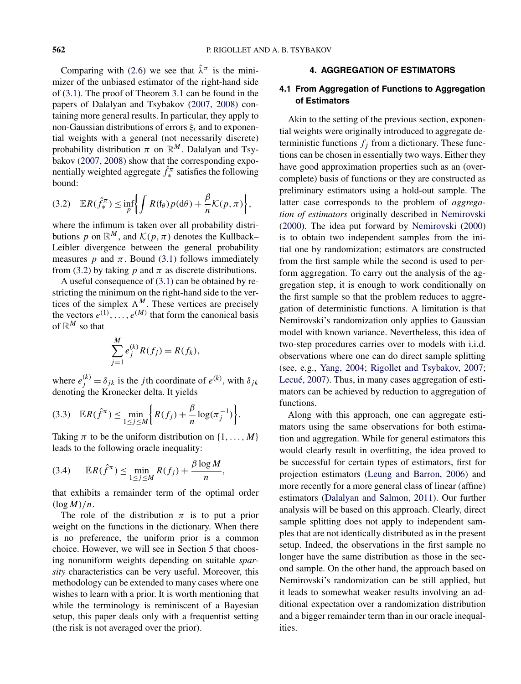<span id="page-4-0"></span>Comparing with [\(2.6\)](#page-3-0) we see that  $\hat{\lambda}^{\pi}$  is the minimizer of the unbiased estimator of the right-hand side of [\(3.1\)](#page-3-0). The proof of Theorem [3.1](#page-3-0) can be found in the papers of Dalalyan and Tsybakov [\(2007, 2008\)](#page-16-0) containing more general results. In particular, they apply to non-Gaussian distributions of errors *ξi* and to exponential weights with a general (not necessarily discrete) probability distribution  $\pi$  on  $\mathbb{R}^M$ . Dalalyan and Tsybakov [\(2007, 2008\)](#page-16-0) show that the corresponding exponentially weighted aggregate  $\hat{f}^{\pi}_{*}$  satisfies the following bound:

$$
(3.2) \quad \mathbb{E}R(\hat{f}_*) \leq \inf_{p} \Biggl\{ \int R(\mathfrak{f}_{\theta}) p(d\theta) + \frac{\beta}{n} \mathcal{K}(p,\pi) \Biggr\},
$$

where the infimum is taken over all probability distributions *p* on  $\mathbb{R}^M$ , and  $\mathcal{K}(p, \pi)$  denotes the Kullback– Leibler divergence between the general probability measures *p* and  $\pi$ . Bound [\(3.1\)](#page-3-0) follows immediately from (3.2) by taking  $p$  and  $\pi$  as discrete distributions.

A useful consequence of [\(3.1\)](#page-3-0) can be obtained by restricting the minimum on the right-hand side to the vertices of the simplex  $\Lambda^M$ . These vertices are precisely the vectors  $e^{(1)}$ ,  $\dots$ ,  $e^{(M)}$  that form the canonical basis of  $\mathbb{R}^M$  so that

$$
\sum_{j=1}^{M} e_j^{(k)} R(f_j) = R(f_k),
$$

where  $e_j^{(k)} = \delta_{jk}$  is the *j* th coordinate of  $e^{(k)}$ , with  $\delta_{jk}$ denoting the Kronecker delta. It yields

$$
(3.3) \quad \mathbb{E}R(\hat{f}^{\pi}) \leq \min_{1 \leq j \leq M} \left\{ R(f_j) + \frac{\beta}{n} \log(\pi_j^{-1}) \right\}.
$$

Taking  $\pi$  to be the uniform distribution on  $\{1, \ldots, M\}$ leads to the following oracle inequality:

$$
(3.4) \qquad \mathbb{E}R(\hat{f}^{\pi}) \leq \min_{1 \leq j \leq M} R(f_j) + \frac{\beta \log M}{n},
$$

that exhibits a remainder term of the optimal order  $(\log M)/n$ .

The role of the distribution  $\pi$  is to put a prior weight on the functions in the dictionary. When there is no preference, the uniform prior is a common choice. However, we will see in Section [5](#page-5-0) that choosing nonuniform weights depending on suitable *sparsity* characteristics can be very useful. Moreover, this methodology can be extended to many cases where one wishes to learn with a prior. It is worth mentioning that while the terminology is reminiscent of a Bayesian setup, this paper deals only with a frequentist setting (the risk is not averaged over the prior).

## **4. AGGREGATION OF ESTIMATORS**

# **4.1 From Aggregation of Functions to Aggregation of Estimators**

Akin to the setting of the previous section, exponential weights were originally introduced to aggregate deterministic functions  $f_i$  from a dictionary. These functions can be chosen in essentially two ways. Either they have good approximation properties such as an (overcomplete) basis of functions or they are constructed as preliminary estimators using a hold-out sample. The latter case corresponds to the problem of *aggregation of estimators* originally described in [Nemirovski](#page-16-0) [\(2000\)](#page-16-0). The idea put forward by [Nemirovski](#page-16-0) [\(2000\)](#page-16-0) is to obtain two independent samples from the initial one by randomization; estimators are constructed from the first sample while the second is used to perform aggregation. To carry out the analysis of the aggregation step, it is enough to work conditionally on the first sample so that the problem reduces to aggregation of deterministic functions. A limitation is that Nemirovski's randomization only applies to Gaussian model with known variance. Nevertheless, this idea of two-step procedures carries over to models with i.i.d. observations where one can do direct sample splitting (see, e.g., [Yang, 2004;](#page-17-0) [Rigollet and Tsybakov, 2007;](#page-17-0) [Lecué, 2007\)](#page-16-0). Thus, in many cases aggregation of estimators can be achieved by reduction to aggregation of functions.

Along with this approach, one can aggregate estimators using the same observations for both estimation and aggregation. While for general estimators this would clearly result in overfitting, the idea proved to be successful for certain types of estimators, first for projection estimators [\(Leung and Barron, 2006\)](#page-16-0) and more recently for a more general class of linear (affine) estimators [\(Dalalyan and Salmon, 2011\)](#page-16-0). Our further analysis will be based on this approach. Clearly, direct sample splitting does not apply to independent samples that are not identically distributed as in the present setup. Indeed, the observations in the first sample no longer have the same distribution as those in the second sample. On the other hand, the approach based on Nemirovski's randomization can be still applied, but it leads to somewhat weaker results involving an additional expectation over a randomization distribution and a bigger remainder term than in our oracle inequalities.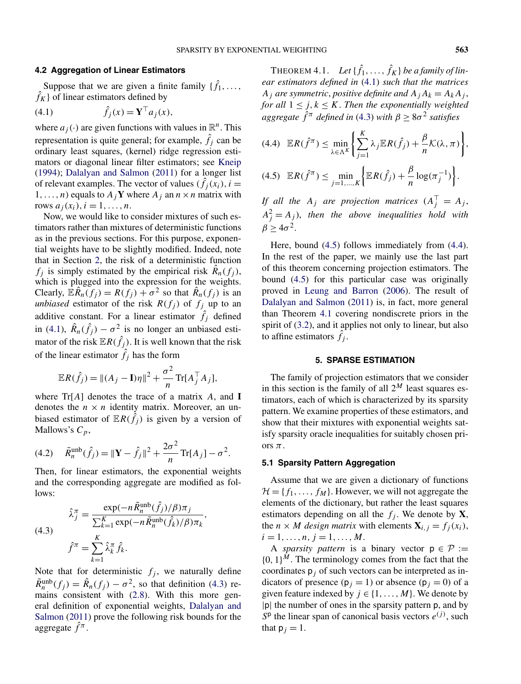## <span id="page-5-0"></span>**4.2 Aggregation of Linear Estimators**

Suppose that we are given a finite family  $\{\hat{f}_1, \ldots, \}$  $\hat{f}_K$ } of linear estimators defined by

$$
(4.1) \qquad \hat{f}_j(x) = \mathbf{Y}^\top a_j(x),
$$

where  $a_j(\cdot)$  are given functions with values in  $\mathbb{R}^n$ . This representation is quite general; for example,  $\hat{f}_j$  can be ordinary least squares, (kernel) ridge regression estimators or diagonal linear filter estimators; see [Kneip](#page-16-0) [\(1994\)](#page-16-0); [Dalalyan and Salmon](#page-16-0) [\(2011\)](#page-16-0) for a longer list of relevant examples. The vector of values  $(\hat{f}_j(x_i), i =$ 1, ..., *n*) equals to  $A_j$ **Y** where  $A_j$  an  $n \times n$  matrix with rows  $a_i(x_i)$ ,  $i = 1, ..., n$ .

Now, we would like to consider mixtures of such estimators rather than mixtures of deterministic functions as in the previous sections. For this purpose, exponential weights have to be slightly modified. Indeed, note that in Section [2,](#page-2-0) the risk of a deterministic function  $f_i$  is simply estimated by the empirical risk  $R_n(f_i)$ , which is plugged into the expression for the weights. Clearly,  $\mathbb{E}\hat{R}_n(f_j) = R(f_j) + \sigma^2$  so that  $\hat{R}_n(f_j)$  is an *unbiased* estimator of the risk  $R(f_j)$  of  $f_j$  up to an additive constant. For a linear estimator  $\hat{f}_j$  defined in (4.1),  $\hat{R}_n(\hat{f}_j) - \sigma^2$  is no longer an unbiased estimator of the risk  $\mathbb{E}R(\hat{f}_j)$ . It is well known that the risk of the linear estimator  $\hat{f}_j$  has the form

$$
\mathbb{E}R(\hat{f}_j) = ||(A_j - \mathbf{I})\eta||^2 + \frac{\sigma^2}{n} \text{Tr}[A_j^\top A_j],
$$

where Tr[*A*] denotes the trace of a matrix *A*, and **I** denotes the  $n \times n$  identity matrix. Moreover, an unbiased estimator of  $\mathbb{E}R(\hat{f}_j)$  is given by a version of Mallows's *Cp*,

(4.2) 
$$
\tilde{R}_n^{\text{unb}}(\hat{f}_j) = ||\mathbf{Y} - \hat{f}_j||^2 + \frac{2\sigma^2}{n} \text{Tr}[A_j] - \sigma^2.
$$

Then, for linear estimators, the exponential weights and the corresponding aggregate are modified as follows:

(4.3)  

$$
\hat{\lambda}_{j}^{\pi} = \frac{\exp(-n\tilde{R}_{n}^{\text{unb}}(\hat{f}_{j})/\beta)\pi_{j}}{\sum_{k=1}^{K}\exp(-n\tilde{R}_{n}^{\text{unb}}(\hat{f}_{k})/\beta)\pi_{k}},
$$

$$
\hat{f}^{\pi} = \sum_{k=1}^{K} \hat{\lambda}_{k}^{\pi} \hat{f}_{k}.
$$

Note that for deterministic  $f_j$ , we naturally define  $\tilde{R}_n^{\text{unb}}(f_j) = \hat{R}_n(f_j) - \sigma^2$ , so that definition (4.3) remains consistent with [\(2.8\)](#page-3-0). With this more general definition of exponential weights, [Dalalyan and](#page-16-0) [Salmon](#page-16-0) [\(2011\)](#page-16-0) prove the following risk bounds for the aggregate  $\hat{f}^{\pi}$ .

THEOREM 4.1. Let  $\{\hat{f}_1, \ldots, \hat{f}_K\}$  be a family of lin*ear estimators defined in* (4.1) *such that the matrices A<sub>j</sub> are symmetric, positive definite and*  $A_jA_k = A_kA_j$ , *for all*  $1 \leq j, k \leq K$ . *Then the exponentially weighted aggregate*  $\hat{f}^{\pi}$  *defined in* (4.3) *with*  $\beta \ge 8\sigma^2$  *satisfies* 

$$
(4.4) \mathbb{E}R(\hat{f}^{\pi}) \le \min_{\lambda \in \Lambda^{K}} \left\{ \sum_{j=1}^{K} \lambda_{j} \mathbb{E}R(\hat{f}_{j}) + \frac{\beta}{n} \mathcal{K}(\lambda, \pi) \right\},
$$
  

$$
(4.5) \mathbb{E}R(\hat{f}^{\pi}) \le \min_{j=1,\dots,K} \left\{ \mathbb{E}R(\hat{f}_{j}) + \frac{\beta}{n} \log(\pi_{j}^{-1}) \right\}.
$$

*If all the*  $A_j$  *are projection matrices*  $(A_j^{\top} = A_j,$  $A_j^2 = A_j$ ), *then the above inequalities hold with*  $\beta$  > 4 $\sigma^2$ .

Here, bound (4.5) follows immediately from (4.4). In the rest of the paper, we mainly use the last part of this theorem concerning projection estimators. The bound (4.5) for this particular case was originally proved in [Leung and Barron](#page-16-0) [\(2006\)](#page-16-0). The result of [Dalalyan and Salmon](#page-16-0) [\(2011\)](#page-16-0) is, in fact, more general than Theorem 4.1 covering nondiscrete priors in the spirit of [\(3.2\)](#page-4-0), and it applies not only to linear, but also to affine estimators  $\hat{f}_j$ .

#### **5. SPARSE ESTIMATION**

The family of projection estimators that we consider in this section is the family of all  $2^M$  least squares estimators, each of which is characterized by its sparsity pattern. We examine properties of these estimators, and show that their mixtures with exponential weights satisfy sparsity oracle inequalities for suitably chosen priors *π*.

#### **5.1 Sparsity Pattern Aggregation**

Assume that we are given a dictionary of functions  $\mathcal{H} = \{f_1, \ldots, f_M\}$ . However, we will not aggregate the elements of the dictionary, but rather the least squares estimators depending on all the  $f_j$ . We denote by **X**, the *n* × *M design matrix* with elements  $\mathbf{X}_{i,j} = f_j(x_i)$ ,  $i = 1, \ldots, n, j = 1, \ldots, M$ .

A *sparsity pattern* is a binary vector  $p \in \mathcal{P}$  :=  ${0, 1}^M$ . The terminology comes from the fact that the coordinates  $p_i$  of such vectors can be interpreted as indicators of presence  $(p_i = 1)$  or absence  $(p_i = 0)$  of a given feature indexed by  $j \in \{1, \ldots, M\}$ . We denote by |p| the number of ones in the sparsity pattern p, and by  $S<sup>p</sup>$  the linear span of canonical basis vectors  $e^{(j)}$ , such that  $p_j = 1$ .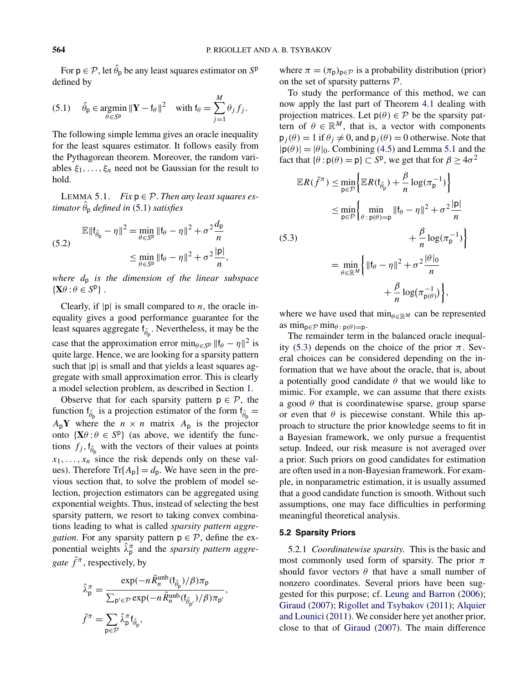<span id="page-6-0"></span>For  $p \in \mathcal{P}$ , let  $\hat{\theta}_p$  be any least squares estimator on  $S^p$ defined by

(5.1) 
$$
\hat{\theta}_{\mathsf{p}} \in \operatorname*{argmin}_{\theta \in S^{\mathsf{p}}} \|\mathbf{Y} - \mathsf{f}_{\theta}\|^2 \quad \text{with } \mathsf{f}_{\theta} = \sum_{j=1}^{M} \theta_j f_j.
$$

The following simple lemma gives an oracle inequality for the least squares estimator. It follows easily from the Pythagorean theorem. Moreover, the random variables *ξ*1*,...,ξn* need not be Gaussian for the result to hold.

LEMMA 5.1. *Fix*  $p \in \mathcal{P}$ . *Then any least squares estimator θ*ˆ <sup>p</sup> *defined in* (5.1) *satisfies*

$$
\mathbb{E} \|\mathbf{f}_{\hat{\theta}_{\mathsf{p}}} - \eta\|^2 = \min_{\theta \in S^{\mathsf{p}}} \|\mathbf{f}_{\theta} - \eta\|^2 + \sigma^2 \frac{d_{\mathsf{p}}}{n}
$$
  

$$
\leq \min_{\theta \in S^{\mathsf{p}}} \|\mathbf{f}_{\theta} - \eta\|^2 + \sigma^2 \frac{|\mathsf{p}|}{n},
$$

*where d*<sup>p</sup> *is the dimension of the linear subspace*  $\{X\theta : \theta \in S^p\}$ .

Clearly, if  $|p|$  is small compared to *n*, the oracle inequality gives a good performance guarantee for the least squares aggregate  $f_{\hat{\theta}_p}$ . Nevertheless, it may be the case that the approximation error min $\theta \in S^p$  ||f $\theta - \eta$ ||<sup>2</sup> is quite large. Hence, we are looking for a sparsity pattern such that  $|p|$  is small and that yields a least squares aggregate with small approximation error. This is clearly a model selection problem, as described in Section [1.](#page-0-0)

Observe that for each sparsity pattern  $p \in \mathcal{P}$ , the function  $f_{\hat{\theta}_p}$  is a projection estimator of the form  $f_{\hat{\theta}_p}$  =  $A_p$ **Y** where the  $n \times n$  matrix  $A_p$  is the projector onto  $\{X\theta : \theta \in S^p\}$  (as above, we identify the functions  $f_j$ ,  $f_{\hat{\theta}_p}$  with the vectors of their values at points  $x_1, \ldots, x_n$  since the risk depends only on these values). Therefore  $Tr[A_{p}] = d_{p}$ . We have seen in the previous section that, to solve the problem of model selection, projection estimators can be aggregated using exponential weights. Thus, instead of selecting the best sparsity pattern, we resort to taking convex combinations leading to what is called *sparsity pattern aggregation*. For any sparsity pattern  $p \in \mathcal{P}$ , define the exponential weights  $\hat{\lambda}_p^{\pi}$  and the *sparsity pattern aggregate*  $\tilde{f}^{\pi}$ , respectively, by

$$
\hat{\lambda}_{\mathsf{p}}^{\pi} = \frac{\exp(-n\tilde{R}_{n}^{\text{unb}}(\mathsf{f}_{\hat{\theta}_{\mathsf{p}}})/\beta)\pi_{\mathsf{p}}}{\sum_{\mathsf{p}' \in \mathcal{P}} \exp(-n\tilde{R}_{n}^{\text{unb}}(\mathsf{f}_{\hat{\theta}_{\mathsf{p}'}})/\beta)\pi_{\mathsf{p}'}},
$$
\n
$$
\tilde{f}^{\pi} = \sum_{\mathsf{p} \in \mathcal{P}} \hat{\lambda}_{\mathsf{p}}^{\pi} \mathsf{f}_{\hat{\theta}_{\mathsf{p}}},
$$

where  $\pi = (\pi_{p})_{p \in \mathcal{P}}$  is a probability distribution (prior) on the set of sparsity patterns  $P$ .

To study the performance of this method, we can now apply the last part of Theorem [4.1](#page-5-0) dealing with projection matrices. Let  $p(\theta) \in \mathcal{P}$  be the sparsity pattern of  $\theta \in \mathbb{R}^M$ , that is, a vector with components  $p_j(\theta) = 1$  if  $\theta_j \neq 0$ , and  $p_j(\theta) = 0$  otherwise. Note that  $|\mathbf{p}(\theta)|=|\theta|_0$ . Combining [\(4.5\)](#page-5-0) and Lemma 5.1 and the fact that  $\{\theta : p(\theta) = p\} \subset S^p$ , we get that for  $\beta \ge 4\sigma^2$ 

$$
\mathbb{E}R(\tilde{f}^{\pi}) \le \min_{\mathsf{p}\in\mathcal{P}} \Big\{ \mathbb{E}R(\mathsf{f}_{\hat{\theta}_{\mathsf{p}}}) + \frac{\beta}{n}\log(\pi_{\mathsf{p}}^{-1}) \Big\}
$$
  
\n
$$
\le \min_{\mathsf{p}\in\mathcal{P}} \Big\{ \min_{\theta \in \mathsf{p}(\theta)=\mathsf{p}} \|\mathsf{f}_{\theta} - \eta\|^2 + \sigma^2 \frac{|\mathsf{p}|}{n} + \frac{\beta}{n}\log(\pi_{\mathsf{p}}^{-1}) \Big\}
$$
  
\n(5.3)  
\n
$$
= \min_{\theta \in \mathbb{R}^M} \Big\{ \|\mathsf{f}_{\theta} - \eta\|^2 + \sigma^2 \frac{|\theta|_0}{n} + \frac{\beta}{n}\log(\pi_{\mathsf{p}(\theta)}^{-1}) \Big\},
$$

where we have used that  $\min_{\theta \in \mathbb{R}^M}$  can be represented as  $\min_{p \in \mathcal{P}} \min_{\theta : p(\theta) = p}$ .

The remainder term in the balanced oracle inequality (5.3) depends on the choice of the prior  $\pi$ . Several choices can be considered depending on the information that we have about the oracle, that is, about a potentially good candidate  $\theta$  that we would like to mimic. For example, we can assume that there exists a good  $\theta$  that is coordinatewise sparse, group sparse or even that  $\theta$  is piecewise constant. While this approach to structure the prior knowledge seems to fit in a Bayesian framework, we only pursue a frequentist setup. Indeed, our risk measure is not averaged over a prior. Such priors on good candidates for estimation are often used in a non-Bayesian framework. For example, in nonparametric estimation, it is usually assumed that a good candidate function is smooth. Without such assumptions, one may face difficulties in performing meaningful theoretical analysis.

## **5.2 Sparsity Priors**

5.2.1 *Coordinatewise sparsity*. This is the basic and most commonly used form of sparsity. The prior *π* should favor vectors *θ* that have a small number of nonzero coordinates. Several priors have been suggested for this purpose; cf. [Leung and Barron](#page-16-0) [\(2006\)](#page-16-0); [Giraud](#page-16-0) [\(2007\)](#page-16-0); [Rigollet and Tsybakov](#page-17-0) [\(2011\)](#page-17-0); [Alquier](#page-16-0) [and Lounici](#page-16-0) [\(2011\)](#page-16-0). We consider here yet another prior, close to that of [Giraud](#page-16-0) [\(2007\)](#page-16-0). The main difference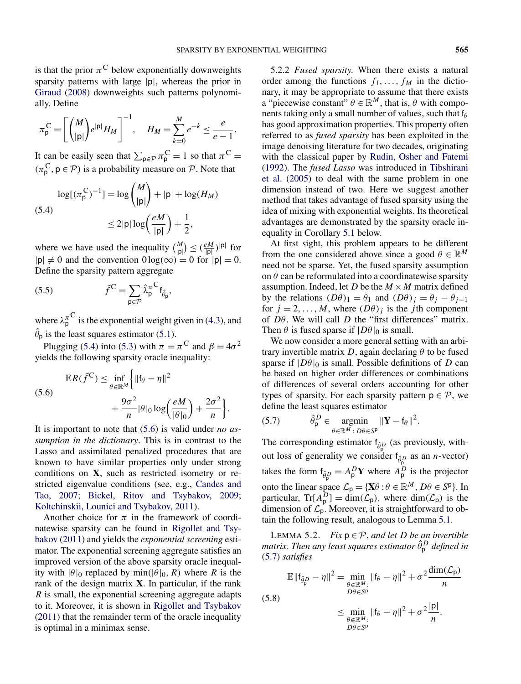<span id="page-7-0"></span>is that the prior  $\pi^C$  below exponentially downweights sparsity patterns with large |p|, whereas the prior in [Giraud](#page-16-0) [\(2008\)](#page-16-0) downweights such patterns polynomially. Define

$$
\pi_{\mathsf{p}}^{\mathsf{C}} = \left[ \binom{M}{|\mathsf{p}|} e^{|\mathsf{p}|} H_M \right]^{-1}, \quad H_M = \sum_{k=0}^{M} e^{-k} \leq \frac{e}{e-1}.
$$

It can be easily seen that  $\sum_{p \in \mathcal{P}} \pi_p^C = 1$  so that  $\pi^C =$  $(\pi_{p}^{C}, p \in \mathcal{P})$  is a probability measure on  $\mathcal{P}$ . Note that

$$
\log[(\pi_{\mathsf{p}}^{\mathsf{C}})^{-1}] = \log \binom{M}{|\mathsf{p}|} + |\mathsf{p}| + \log(H_M)
$$
  
(5.4)  

$$
\leq 2|\mathsf{p}| \log \left(\frac{eM}{|\mathsf{p}|}\right) + \frac{1}{2},
$$

where we have used the inequality  $\binom{M}{|\mathsf{p}|} \leq \left(\frac{eM}{|\mathsf{p}|}\right)^{|\mathsf{p}|}$  for  $|p| \neq 0$  and the convention  $0 \log(\infty) = 0$  for  $|p| = 0$ . Define the sparsity pattern aggregate

(5.5) 
$$
\tilde{f}^{\mathbf{C}} = \sum_{\mathbf{p} \in \mathcal{P}} \hat{\lambda}_{\mathbf{p}}^{\pi} {}^{\mathbf{C}} \mathbf{f}_{\hat{\theta}_{\mathbf{p}}},
$$

where  $\lambda_p^{\pi^{\mathbf{C}}}$  is the exponential weight given in [\(4.3\)](#page-5-0), and  $\hat{\theta}_p$  is the least squares estimator [\(5.1\)](#page-6-0).

Plugging (5.4) into [\(5.3\)](#page-6-0) with  $\pi = \pi^C$  and  $\beta = 4\sigma^2$ yields the following sparsity oracle inequality:

(5.6)  
\n
$$
\mathbb{E}R(\tilde{f}^{\mathbf{C}}) \leq \inf_{\theta \in \mathbb{R}^{M}} \left\{ \Vert \mathbf{f}_{\theta} - \eta \Vert^{2} + \frac{9\sigma^{2}}{n} |\theta|_{0} \log \left( \frac{eM}{|\theta|_{0}} \right) + \frac{2\sigma^{2}}{n} \right\}.
$$

It is important to note that (5.6) is valid under *no assumption in the dictionary*. This is in contrast to the Lasso and assimilated penalized procedures that are known to have similar properties only under strong conditions on **X**, such as restricted isometry or restricted eigenvalue conditions (see, e.g., [Candes and](#page-16-0) [Tao, 2007;](#page-16-0) [Bickel, Ritov and Tsybakov, 2009;](#page-16-0) [Koltchinskii, Lounici and Tsybakov, 2011\)](#page-16-0).

Another choice for  $\pi$  in the framework of coordinatewise sparsity can be found in [Rigollet and Tsy](#page-17-0)[bakov](#page-17-0) [\(2011\)](#page-17-0) and yields the *exponential screening* estimator. The exponential screening aggregate satisfies an improved version of the above sparsity oracle inequality with  $|\theta|_0$  replaced by min( $|\theta|_0$ , R) where R is the rank of the design matrix **X**. In particular, if the rank *R* is small, the exponential screening aggregate adapts to it. Moreover, it is shown in [Rigollet and Tsybakov](#page-17-0) [\(2011\)](#page-17-0) that the remainder term of the oracle inequality is optimal in a minimax sense.

5.2.2 *Fused sparsity*. When there exists a natural order among the functions  $f_1, \ldots, f_M$  in the dictionary, it may be appropriate to assume that there exists a "piecewise constant"  $\theta \in \mathbb{R}^M$ , that is,  $\theta$  with components taking only a small number of values, such that f*<sup>θ</sup>* has good approximation properties. This property often referred to as *fused sparsity* has been exploited in the image denoising literature for two decades, originating with the classical paper by [Rudin, Osher and Fatemi](#page-17-0) [\(1992\)](#page-17-0). The *fused Lasso* was introduced in [Tibshirani](#page-17-0) [et al.](#page-17-0) [\(2005\)](#page-17-0) to deal with the same problem in one dimension instead of two. Here we suggest another method that takes advantage of fused sparsity using the idea of mixing with exponential weights. Its theoretical advantages are demonstrated by the sparsity oracle inequality in Corollary [5.1](#page-8-0) below.

At first sight, this problem appears to be different from the one considered above since a good  $\theta \in \mathbb{R}^M$ need not be sparse. Yet, the fused sparsity assumption on  $\theta$  can be reformulated into a coordinatewise sparsity assumption. Indeed, let *D* be the  $M \times M$  matrix defined by the relations  $(D\theta)_1 = \theta_1$  and  $(D\theta)_j = \theta_j - \theta_{j-1}$ for  $j = 2, ..., M$ , where  $(D\theta)_j$  is the *j*th component of *Dθ*. We will call *D* the "first differences" matrix. Then  $\theta$  is fused sparse if  $|D\theta|_0$  is small.

We now consider a more general setting with an arbitrary invertible matrix *D*, again declaring  $\theta$  to be fused sparse if  $|D\theta|_0$  is small. Possible definitions of *D* can be based on higher order differences or combinations of differences of several orders accounting for other types of sparsity. For each sparsity pattern  $p \in \mathcal{P}$ , we define the least squares estimator

(5.7) 
$$
\hat{\theta}_{\mathsf{p}}^D \in \operatorname*{argmin}_{\theta \in \mathbb{R}^M \colon D\theta \in S^{\mathsf{p}}} \|\mathbf{Y} - \mathsf{f}_{\theta}\|^2.
$$

The corresponding estimator  $f_{\hat{\theta}^D}$  (as previously, without loss of generality we consider  $f_{\hat{\theta}^D_p}$  as an *n*-vector) takes the form  $f_{\hat{\theta}^D_{p}} = A_p^D Y$  where  $A_p^D$  is the projector onto the linear space  $\mathcal{L}_{p} = {\mathbf{X}}\theta : \theta \in \mathbb{R}^{M}, D\theta \in S^{p}$ . In particular,  $Tr[A_p^D] = \dim(\mathcal{L}_p)$ , where  $\dim(\mathcal{L}_p)$  is the dimension of  $\mathcal{L}_{p}$ . Moreover, it is straightforward to obtain the following result, analogous to Lemma [5.1.](#page-6-0)

LEMMA 5.2. *Fix*  $p \in \mathcal{P}$ , *and let D be an invertible matrix*. *Then any least squares estimator θ*ˆ*<sup>D</sup>* <sup>p</sup> *defined in* (5.7) *satisfies*

$$
\mathbb{E} \|\mathbf{f}_{\hat{\theta}_{\mathsf{p}}^{D}} - \eta\|^{2} = \min_{\substack{\theta \in \mathbb{R}^{M}: \\ D\theta \in S^{p}}}} \|\mathbf{f}_{\theta} - \eta\|^{2} + \sigma^{2} \frac{\dim(\mathcal{L}_{\mathsf{p}})}{n}
$$
\n
$$
\leq \min_{\substack{\theta \in \mathbb{R}^{M}: \\ D\theta \in S^{p}}} \|\mathbf{f}_{\theta} - \eta\|^{2} + \sigma^{2} \frac{|\mathsf{p}|}{n}.
$$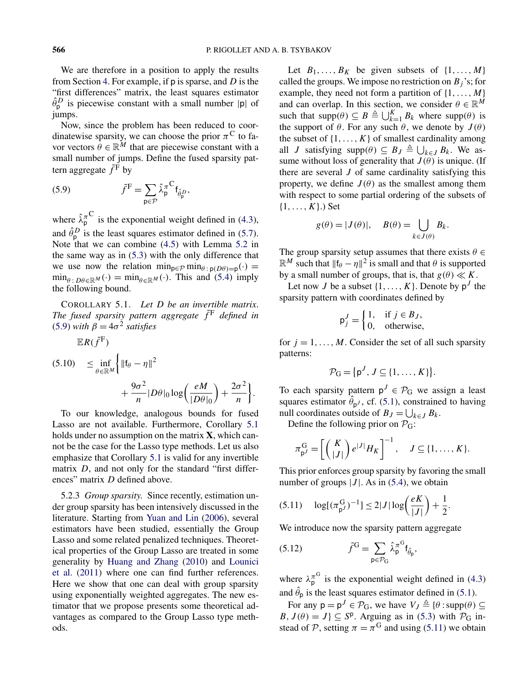<span id="page-8-0"></span>We are therefore in a position to apply the results from Section [4.](#page-4-0) For example, if p is sparse, and *D* is the "first differences" matrix, the least squares estimator  $\hat{\theta}^D_{\mathsf{p}}$  is piecewise constant with a small number  $|\mathsf{p}|$  of jumps.

Now, since the problem has been reduced to coordinatewise sparsity, we can choose the prior  $\pi$ <sup>C</sup> to favor vectors  $\theta \in \mathbb{R}^M$  that are piecewise constant with a small number of jumps. Define the fused sparsity pattern aggregate  $\tilde{f}^{\vec{F}}$  by

(5.9) 
$$
\tilde{f}^{\mathrm{F}} = \sum_{\mathrm{p} \in \mathcal{P}} \hat{\lambda}_{\mathrm{p}}^{\pi} \mathbf{f}_{\hat{\theta}_{\mathrm{p}}^D},
$$

 $ER(\tilde{f}^{\text{F}})$ 

where  $\hat{\lambda}_p^{\pi C}$  is the exponential weight defined in [\(4.3\)](#page-5-0), and  $\hat{\theta}^D_{\mathsf{p}}$  is the least squares estimator defined in [\(5.7\)](#page-7-0). Note that we can combine [\(4.5\)](#page-5-0) with Lemma [5.2](#page-7-0) in the same way as in [\(5.3\)](#page-6-0) with the only difference that we use now the relation  $\min_{p \in \mathcal{P}} \min_{\theta : p(D\theta) = p}(\cdot) =$  $\min_{\theta : D\theta \in \mathbb{R}^M} (\cdot) = \min_{\theta \in \mathbb{R}^M} (\cdot)$ . This and [\(5.4\)](#page-7-0) imply the following bound.

COROLLARY 5.1. *Let D be an invertible matrix*. *The fused sparsity pattern aggregate*  $\tilde{f}^F$  *defined in* (5.9) *with*  $\beta = 4\sigma^2$  *satisfies* 

$$
(5.10) \quad \leq \inf_{\theta \in \mathbb{R}^M} \left\{ \| \mathbf{f}_{\theta} - \eta \|^2 \right. \\ \quad + \frac{9\sigma^2}{n} |D\theta|_0 \log \left( \frac{eM}{|D\theta|_0} \right) + \frac{2\sigma^2}{n} \right\}.
$$

To our knowledge, analogous bounds for fused Lasso are not available. Furthermore, Corollary 5.1 holds under no assumption on the matrix **X**, which cannot be the case for the Lasso type methods. Let us also emphasize that Corollary 5.1 is valid for any invertible matrix *D*, and not only for the standard "first differences" matrix *D* defined above.

5.2.3 *Group sparsity*. Since recently, estimation under group sparsity has been intensively discussed in the literature. Starting from [Yuan and Lin](#page-17-0) [\(2006\)](#page-17-0), several estimators have been studied, essentially the Group Lasso and some related penalized techniques. Theoretical properties of the Group Lasso are treated in some generality by [Huang and Zhang](#page-16-0) [\(2010\)](#page-16-0) and [Lounici](#page-16-0) [et al.](#page-16-0) [\(2011\)](#page-16-0) where one can find further references. Here we show that one can deal with group sparsity using exponentially weighted aggregates. The new estimator that we propose presents some theoretical advantages as compared to the Group Lasso type methods.

Let  $B_1, \ldots, B_K$  be given subsets of  $\{1, \ldots, M\}$ called the groups. We impose no restriction on  $B_i$ 's; for example, they need not form a partition of {1*,...,M*} and can overlap. In this section, we consider  $\theta \in \mathbb{R}^M$ such that  $\text{supp}(\theta) \subseteq B \triangleq \bigcup_{k=1}^{K} B_k$  where  $\text{supp}(\theta)$  is the support of  $\theta$ . For any such  $\theta$ , we denote by  $J(\theta)$ the subset of  $\{1, \ldots, K\}$  of smallest cardinality among all *J* satisfying supp $(\theta) \subseteq B_J \triangleq \bigcup_{k \in J} B_k$ . We assume without loss of generality that  $J(\theta)$  is unique. (If there are several *J* of same cardinality satisfying this property, we define  $J(\theta)$  as the smallest among them with respect to some partial ordering of the subsets of {1*,...,K*}.) Set

$$
g(\theta) = |J(\theta)|
$$
,  $B(\theta) = \bigcup_{k \in J(\theta)} B_k$ .

The group sparsity setup assumes that there exists  $\theta \in$  $\mathbb{R}^M$  such that  $||\mathbf{f}_{\theta} - \eta||^2$  is small and that  $\theta$  is supported by a small number of groups, that is, that  $g(\theta) \ll K$ .

Let now *J* be a subset  $\{1, \ldots, K\}$ . Denote by  $p^{J}$  the sparsity pattern with coordinates defined by

$$
\mathsf{p}_j^J = \begin{cases} 1, & \text{if } j \in B_J, \\ 0, & \text{otherwise,} \end{cases}
$$

for  $j = 1, \ldots, M$ . Consider the set of all such sparsity patterns:

$$
\mathcal{P}_G = \{p^J, J \subseteq \{1, \ldots, K\}\}.
$$

To each sparsity pattern  $p^J \in \mathcal{P}_G$  we assign a least squares estimator  $\hat{\theta}_{p^J}$ , cf. [\(5.1\)](#page-6-0), constrained to having null coordinates outside of  $B_J = \bigcup_{k \in J} B_k$ .

Define the following prior on  $P_G$ :

$$
\pi_{p^J}^G = \left[ \left( \begin{array}{c} K \\ |J| \end{array} \right) e^{|J|} H_K \right]^{-1}, \quad J \subseteq \{1, \ldots, K\}.
$$

This prior enforces group sparsity by favoring the small number of groups  $|J|$ . As in [\(5.4\)](#page-7-0), we obtain

$$
(5.11) \quad \log[(\pi_{p^{J}}^{G})^{-1}] \le 2|J| \log\left(\frac{eK}{|J|}\right) + \frac{1}{2}.
$$

We introduce now the sparsity pattern aggregate

(5.12) 
$$
\tilde{f}^{\mathbf{G}} = \sum_{\mathbf{p} \in \mathcal{P}_{\mathbf{G}}} \hat{\lambda}_{\mathbf{p}}^{\pi^{\mathbf{G}}} \mathbf{f}_{\hat{\theta}_{\mathbf{p}}},
$$

where  $\lambda_p^{\pi^G}$  is the exponential weight defined in [\(4.3\)](#page-5-0) and  $\hat{\theta}_p$  is the least squares estimator defined in [\(5.1\)](#page-6-0).

For any  $p = p^J \in \mathcal{P}_G$ , we have  $V_J \triangleq {\theta : \text{supp}(\theta) \subseteq \Theta}$ *B*,  $J(\theta) = J$ }  $\subseteq$  *S*<sup>p</sup>. Arguing as in [\(5.3\)](#page-6-0) with  $P_G$  instead of P, setting  $\pi = \pi^G$  and using (5.11) we obtain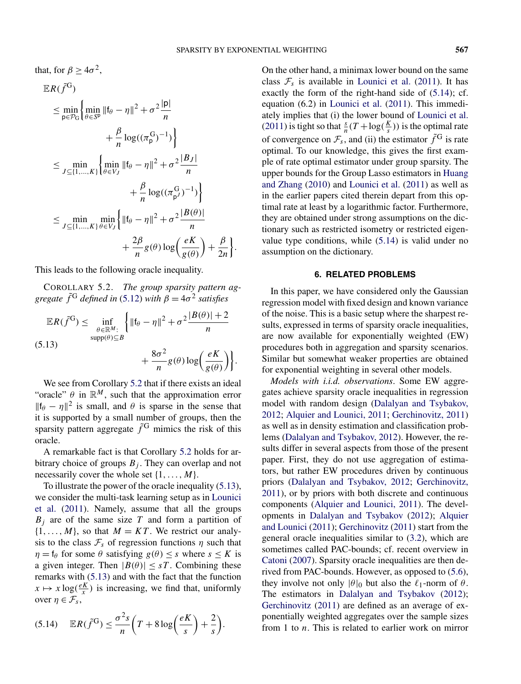<span id="page-9-0"></span>that, for  $\beta \ge 4\sigma^2$ ,

$$
\mathbb{E}R(\tilde{f}^{G})
$$
\n
$$
\leq \min_{p \in \mathcal{P}_{G}} \left\{ \min_{\theta \in S^{p}} \|f_{\theta} - \eta\|^{2} + \sigma^{2} \frac{|p|}{n} + \frac{\beta}{n} \log((\pi_{p}^{G})^{-1}) \right\}
$$
\n
$$
\leq \min_{J \subseteq \{1, ..., K\}} \left\{ \min_{\theta \in V_{J}} \|f_{\theta} - \eta\|^{2} + \sigma^{2} \frac{|B_{J}|}{n} + \frac{\beta}{n} \log((\pi_{p}^{G})^{-1}) \right\}
$$
\n
$$
\leq \min_{J \subseteq \{1, ..., K\}} \min_{\theta \in V_{J}} \left\{ \|f_{\theta} - \eta\|^{2} + \sigma^{2} \frac{|B(\theta)|}{n} + \frac{2\beta}{n} g(\theta) \log \left(\frac{eK}{g(\theta)}\right) + \frac{\beta}{2n} \right\}.
$$

This leads to the following oracle inequality.

COROLLARY 5.2. *The group sparsity pattern aggregate*  $\tilde{f}^G$  *defined in* [\(5.12\)](#page-8-0) *with*  $\beta = 4\sigma^2$  *satisfies* 

$$
\mathbb{E}R(\tilde{f}^{G}) \leq \inf_{\substack{\theta \in \mathbb{R}^{M}: \\ \text{supp}(\theta) \subseteq B}} \left\{ \left\| \mathfrak{f}_{\theta} - \eta \right\|^{2} + \sigma^{2} \frac{|B(\theta)| + 2}{n} + \frac{8\sigma^{2}}{n} g(\theta) \log \left( \frac{eK}{g(\theta)} \right) \right\}.
$$

We see from Corollary 5.2 that if there exists an ideal "oracle"  $\theta$  in  $\mathbb{R}^M$ , such that the approximation error  $||f_{\theta} - \eta||^2$  is small, and  $\theta$  is sparse in the sense that it is supported by a small number of groups, then the sparsity pattern aggregate  $\tilde{f}^G$  mimics the risk of this oracle.

A remarkable fact is that Corollary 5.2 holds for arbitrary choice of groups  $B_j$ . They can overlap and not necessarily cover the whole set {1*,...,M*}.

To illustrate the power of the oracle inequality (5.13), we consider the multi-task learning setup as in [Lounici](#page-16-0) [et al.](#page-16-0) [\(2011\)](#page-16-0). Namely, assume that all the groups *Bj* are of the same size *T* and form a partition of  $\{1, \ldots, M\}$ , so that  $M = KT$ . We restrict our analysis to the class  $\mathcal{F}_s$  of regression functions  $\eta$  such that  $\eta = f_\theta$  for some  $\theta$  satisfying  $g(\theta) \leq s$  where  $s \leq K$  is a given integer. Then  $|B(\theta)| \leq sT$ . Combining these remarks with (5.13) and with the fact that the function  $x \mapsto x \log(\frac{eK}{x})$  is increasing, we find that, uniformly over  $\eta \in \mathcal{F}_s$ ,

$$
(5.14) \quad \mathbb{E}R(\tilde{f}^{G}) \leq \frac{\sigma^{2}s}{n}\left(T + 8\log\left(\frac{eK}{s}\right) + \frac{2}{s}\right).
$$

On the other hand, a minimax lower bound on the same class  $\mathcal{F}_s$  is available in [Lounici et al.](#page-16-0) [\(2011\)](#page-16-0). It has exactly the form of the right-hand side of (5.14); cf. equation (6.2) in [Lounici et al.](#page-16-0) [\(2011\)](#page-16-0). This immediately implies that (i) the lower bound of [Lounici et al.](#page-16-0) [\(2011\)](#page-16-0) is tight so that  $\frac{s}{n}(T + \log(\frac{K}{s}))$  is the optimal rate of convergence on  $\mathcal{F}_s$ , and (ii) the estimator  $\tilde{f}^G$  is rate optimal. To our knowledge, this gives the first example of rate optimal estimator under group sparsity. The upper bounds for the Group Lasso estimators in [Huang](#page-16-0) [and Zhang](#page-16-0) [\(2010\)](#page-16-0) and [Lounici et al.](#page-16-0) [\(2011\)](#page-16-0) as well as in the earlier papers cited therein depart from this optimal rate at least by a logarithmic factor. Furthermore, they are obtained under strong assumptions on the dictionary such as restricted isometry or restricted eigenvalue type conditions, while (5.14) is valid under no assumption on the dictionary.

#### **6. RELATED PROBLEMS**

In this paper, we have considered only the Gaussian regression model with fixed design and known variance of the noise. This is a basic setup where the sharpest results, expressed in terms of sparsity oracle inequalities, are now available for exponentially weighted (EW) procedures both in aggregation and sparsity scenarios. Similar but somewhat weaker properties are obtained for exponential weighting in several other models.

*Models with i.i.d. observations*. Some EW aggregates achieve sparsity oracle inequalities in regression model with random design [\(Dalalyan and Tsybakov,](#page-16-0) [2012;](#page-16-0) [Alquier and Lounici, 2011;](#page-16-0) [Gerchinovitz, 2011\)](#page-16-0) as well as in density estimation and classification problems [\(Dalalyan and Tsybakov, 2012\)](#page-16-0). However, the results differ in several aspects from those of the present paper. First, they do not use aggregation of estimators, but rather EW procedures driven by continuous priors [\(Dalalyan and Tsybakov, 2012;](#page-16-0) [Gerchinovitz,](#page-16-0) [2011\)](#page-16-0), or by priors with both discrete and continuous components [\(Alquier and Lounici, 2011\)](#page-16-0). The developments in [Dalalyan and Tsybakov](#page-16-0) [\(2012\)](#page-16-0); [Alquier](#page-16-0) [and Lounici](#page-16-0) [\(2011\)](#page-16-0); [Gerchinovitz](#page-16-0) [\(2011\)](#page-16-0) start from the general oracle inequalities similar to [\(3.2\)](#page-4-0), which are sometimes called PAC-bounds; cf. recent overview in [Catoni](#page-16-0) [\(2007\)](#page-16-0). Sparsity oracle inequalities are then derived from PAC-bounds. However, as opposed to [\(5.6\)](#page-7-0), they involve not only  $|\theta|_0$  but also the  $\ell_1$ -norm of  $\theta$ . The estimators in [Dalalyan and Tsybakov](#page-16-0) [\(2012\)](#page-16-0); [Gerchinovitz](#page-16-0) [\(2011\)](#page-16-0) are defined as an average of exponentially weighted aggregates over the sample sizes from 1 to *n*. This is related to earlier work on mirror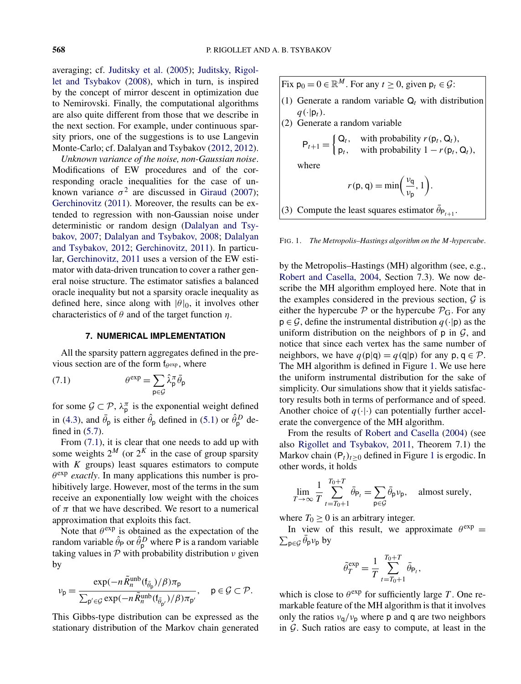averaging; cf. [Juditsky et al.](#page-16-0) [\(2005\)](#page-16-0); [Juditsky, Rigol](#page-16-0)[let and Tsybakov](#page-16-0) [\(2008\)](#page-16-0), which in turn, is inspired by the concept of mirror descent in optimization due to Nemirovski. Finally, the computational algorithms are also quite different from those that we describe in the next section. For example, under continuous sparsity priors, one of the suggestions is to use Langevin Monte-Carlo; cf. Dalalyan and Tsybakov [\(2012, 2012\)](#page-16-0).

*Unknown variance of the noise, non-Gaussian noise*. Modifications of EW procedures and of the corresponding oracle inequalities for the case of unknown variance  $\sigma^2$  are discussed in [Giraud](#page-16-0) [\(2007\)](#page-16-0); [Gerchinovitz](#page-16-0) [\(2011\)](#page-16-0). Moreover, the results can be extended to regression with non-Gaussian noise under deterministic or random design [\(Dalalyan and Tsy](#page-16-0)[bakov, 2007;](#page-16-0) [Dalalyan and Tsybakov, 2008;](#page-16-0) [Dalalyan](#page-16-0) [and Tsybakov, 2012;](#page-16-0) [Gerchinovitz, 2011\)](#page-16-0). In particular, [Gerchinovitz, 2011](#page-16-0) uses a version of the EW estimator with data-driven truncation to cover a rather general noise structure. The estimator satisfies a balanced oracle inequality but not a sparsity oracle inequality as defined here, since along with  $|\theta|_0$ , it involves other characteristics of *θ* and of the target function *η*.

#### **7. NUMERICAL IMPLEMENTATION**

All the sparsity pattern aggregates defined in the previous section are of the form f*<sup>θ</sup>* exp , where

(7.1) 
$$
\theta^{\exp} = \sum_{\mathbf{p} \in \mathcal{G}} \hat{\lambda}_{\mathbf{p}}^{\pi} \bar{\theta}_{\mathbf{p}}
$$

for some  $\mathcal{G} \subset \mathcal{P}$ ,  $\lambda_p^{\pi}$  is the exponential weight defined in [\(4.3\)](#page-5-0), and  $\bar{\theta}_p$  is either  $\hat{\theta}_p$  defined in [\(5.1\)](#page-6-0) or  $\hat{\theta}_p^D$  defined in [\(5.7\)](#page-7-0).

From (7.1), it is clear that one needs to add up with some weights  $2^M$  (or  $2^K$  in the case of group sparsity with *K* groups) least squares estimators to compute  $\theta^{\text{exp}}$  *exactly*. In many applications this number is prohibitively large. However, most of the terms in the sum receive an exponentially low weight with the choices of  $\pi$  that we have described. We resort to a numerical approximation that exploits this fact.

Note that  $\theta^{\text{exp}}$  is obtained as the expectation of the random variable  $\hat{\theta}_P$  or  $\hat{\theta}_P^D$  where P is a random variable taking values in P with probability distribution *ν* given by

$$
\nu_{\rm p} = \frac{\exp(-n\tilde{R}_n^{\rm unb}(\mathfrak{f}_{\bar{\theta}_{\rm p}})/\beta)\pi_{\rm p}}{\sum_{\rm p' \in \mathcal{G}}\exp(-n\tilde{R}_n^{\rm unb}(\mathfrak{f}_{\bar{\theta}_{\rm p'}})/\beta)\pi_{\rm p'}}, \quad {\rm p} \in \mathcal{G} \subset \mathcal{P}.
$$

This Gibbs-type distribution can be expressed as the stationary distribution of the Markov chain generated Fix  $p_0 = 0 \in \mathbb{R}^M$ . For any  $t \ge 0$ , given  $p_t \in \mathcal{G}$ : (1) Generate a random variable  $Q_t$  with distribution  $q(\cdot|\mathsf{p}_t)$ . (2) Generate a random variable  $P_{t+1} = \begin{cases} Q_t, & \text{with probability } r(p_t, Q_t), \\ p, & \text{with probability } 1 - r(p) \end{cases}$  $p_t$ , with probability  $1 - r(p_t, Q_t)$ , where  $r(p, q) = min\left(\frac{v_q}{q}\right)$  $\frac{\nu_{\mathsf{q}}}{\nu_{\mathsf{p}}}, 1$ . (3) Compute the least squares estimator  $\bar{\theta}_{P_{t+1}}$ .

FIG. 1. *The Metropolis–Hastings algorithm on the M-hypercube*.

by the Metropolis–Hastings (MH) algorithm (see, e.g., [Robert and Casella, 2004,](#page-17-0) Section 7.3). We now describe the MH algorithm employed here. Note that in the examples considered in the previous section,  $G$  is either the hypercube  $P$  or the hypercube  $P_G$ . For any  $p \in \mathcal{G}$ , define the instrumental distribution  $q(\cdot|p)$  as the uniform distribution on the neighbors of  $p$  in  $G$ , and notice that since each vertex has the same number of neighbors, we have  $q(p|q) = q(q|p)$  for any  $p, q \in \mathcal{P}$ . The MH algorithm is defined in Figure 1. We use here the uniform instrumental distribution for the sake of simplicity. Our simulations show that it yields satisfactory results both in terms of performance and of speed. Another choice of  $q(\cdot|\cdot)$  can potentially further accelerate the convergence of the MH algorithm.

From the results of [Robert and Casella](#page-17-0) [\(2004\)](#page-17-0) (see also [Rigollet and Tsybakov, 2011,](#page-17-0) Theorem 7.1) the Markov chain  $(P_t)_{t\geq0}$  defined in Figure 1 is ergodic. In other words, it holds

$$
\lim_{T \to \infty} \frac{1}{T} \sum_{t=T_0+1}^{T_0+T} \bar{\theta}_{\mathsf{P}_t} = \sum_{\mathsf{p} \in \mathcal{G}} \bar{\theta}_{\mathsf{p}} \nu_{\mathsf{p}}, \quad \text{almost surely},
$$

where  $T_0 \geq 0$  is an arbitrary integer.

In view of this result, we approximate  $\theta^{\text{exp}} =$  $\sum_{\mathsf{p}\in\mathcal{G}}\bar{\theta}_{\mathsf{p}}\nu_{\mathsf{p}}$  by

$$
\tilde{\theta}_T^{\exp} = \frac{1}{T} \sum_{t=T_0+1}^{T_0+T} \bar{\theta}_{\mathsf{P}_t},
$$

which is close to  $\theta^{\text{exp}}$  for sufficiently large *T*. One remarkable feature of the MH algorithm is that it involves only the ratios  $v_q/v_p$  where p and q are two neighbors in  $G$ . Such ratios are easy to compute, at least in the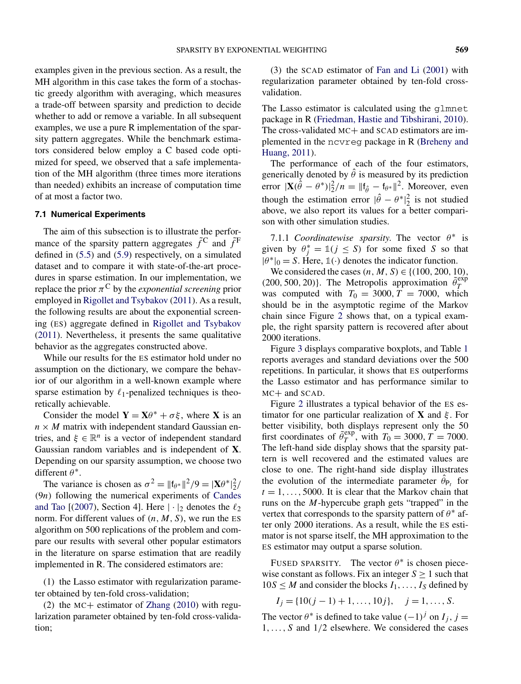examples given in the previous section. As a result, the MH algorithm in this case takes the form of a stochastic greedy algorithm with averaging, which measures a trade-off between sparsity and prediction to decide whether to add or remove a variable. In all subsequent examples, we use a pure R implementation of the sparsity pattern aggregates. While the benchmark estimators considered below employ a C based code optimized for speed, we observed that a safe implementation of the MH algorithm (three times more iterations than needed) exhibits an increase of computation time of at most a factor two.

## **7.1 Numerical Experiments**

The aim of this subsection is to illustrate the performance of the sparsity pattern aggregates  $\tilde{f}^C$  and  $\tilde{f}^F$ defined in [\(5.5\)](#page-7-0) and [\(5.9\)](#page-8-0) respectively, on a simulated dataset and to compare it with state-of-the-art procedures in sparse estimation. In our implementation, we replace the prior  $\pi$ <sup>C</sup> by the *exponential screening* prior employed in [Rigollet and Tsybakov](#page-17-0) [\(2011\)](#page-17-0). As a result, the following results are about the exponential screening (ES) aggregate defined in [Rigollet and Tsybakov](#page-17-0) [\(2011\)](#page-17-0). Nevertheless, it presents the same qualitative behavior as the aggregates constructed above.

While our results for the ES estimator hold under no assumption on the dictionary, we compare the behavior of our algorithm in a well-known example where sparse estimation by  $\ell_1$ -penalized techniques is theoretically achievable.

Consider the model  $Y = X\theta^* + \sigma\xi$ , where X is an  $n \times M$  matrix with independent standard Gaussian entries, and  $\xi \in \mathbb{R}^n$  is a vector of independent standard Gaussian random variables and is independent of **X**. Depending on our sparsity assumption, we choose two different *θ* <sup>∗</sup>.

The variance is chosen as  $\sigma^2 = ||\mathbf{f}_{\theta^*}||^2 / 9 = |\mathbf{X} \theta^*|_2^2 / 9$ *(*9*n)* following the numerical experiments of [Candes](#page-16-0) [and Tao](#page-16-0)  $[(2007)$  $[(2007)$ , Section 4]. Here  $|\cdot|_2$  denotes the  $\ell_2$ norm. For different values of  $(n, M, S)$ , we run the ES algorithm on 500 replications of the problem and compare our results with several other popular estimators in the literature on sparse estimation that are readily implemented in R. The considered estimators are:

(1) the Lasso estimator with regularization parameter obtained by ten-fold cross-validation;

(2) the MC+ estimator of [Zhang](#page-17-0) [\(2010\)](#page-17-0) with regularization parameter obtained by ten-fold cross-validation;

(3) the SCAD estimator of [Fan and Li](#page-16-0) [\(2001\)](#page-16-0) with regularization parameter obtained by ten-fold crossvalidation.

The Lasso estimator is calculated using the glmnet package in R [\(Friedman, Hastie and Tibshirani, 2010\)](#page-16-0). The cross-validated MC+ and SCAD estimators are implemented in the ncvreg package in R [\(Breheny and](#page-16-0) [Huang, 2011\)](#page-16-0).

The performance of each of the four estimators, generically denoted by  $\hat{\theta}$  is measured by its prediction error  $|\mathbf{X}(\hat{\theta} - \theta^*)|^2/2/n = ||\mathbf{f}_{\hat{\theta}} - \mathbf{f}_{\theta^*}||^2$ . Moreover, even though the estimation error  $|\hat{\theta} - \theta^*|_2^2$  is not studied above, we also report its values for a better comparison with other simulation studies.

7.1.1 *Coordinatewise sparsity*. The vector  $\theta^*$  is given by  $\theta_j^* = \mathbb{1}(j \leq S)$  for some fixed *S* so that  $|\theta^*|_0 = S$ . Here,  $\mathbb{1}(\cdot)$  denotes the indicator function.

We considered the cases *(n,M,S)* ∈ {*(*100*,* 200*,* 10*),*  $(200, 500, 20)$ }. The Metropolis approximation  $\tilde{\theta}_T^{\exp}$ was computed with  $T_0 = 3000, T = 7000$ , which should be in the asymptotic regime of the Markov chain since Figure [2](#page-12-0) shows that, on a typical example, the right sparsity pattern is recovered after about 2000 iterations.

Figure [3](#page-12-0) displays comparative boxplots, and Table [1](#page-13-0) reports averages and standard deviations over the 500 repetitions. In particular, it shows that ES outperforms the Lasso estimator and has performance similar to MC+ and SCAD.

Figure [2](#page-12-0) illustrates a typical behavior of the ES estimator for one particular realization of **X** and *ξ* . For better visibility, both displays represent only the 50 first coordinates of  $\tilde{\theta}_T^{\text{exp}}$ , with  $T_0 = 3000$ ,  $T = 7000$ . The left-hand side display shows that the sparsity pattern is well recovered and the estimated values are close to one. The right-hand side display illustrates the evolution of the intermediate parameter  $\hat{\theta}_{P_t}$  for  $t = 1, \ldots, 5000$ . It is clear that the Markov chain that runs on the *M*-hypercube graph gets "trapped" in the vertex that corresponds to the sparsity pattern of  $\theta^*$  after only 2000 iterations. As a result, while the ES estimator is not sparse itself, the MH approximation to the ES estimator may output a sparse solution.

FUSED SPARSITY. The vector  $\theta^*$  is chosen piecewise constant as follows. Fix an integer  $S \geq 1$  such that  $10S \leq M$  and consider the blocks  $I_1, \ldots, I_S$  defined by

$$
I_j = \{10(j-1)+1,\ldots,10j\}, \quad j=1,\ldots, S.
$$

The vector  $\theta^*$  is defined to take value  $(-1)^j$  on  $I_j$ ,  $j =$ 1*,...,S* and 1*/*2 elsewhere. We considered the cases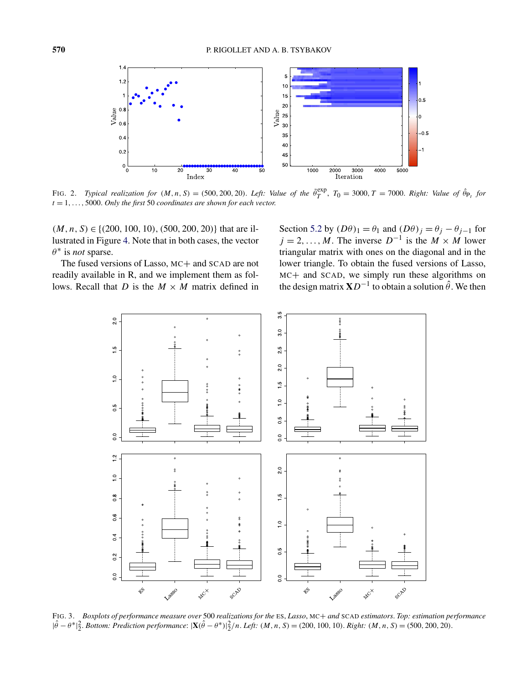<span id="page-12-0"></span>

FIG. 2. Typical realization for  $(M, n, S) = (500, 200, 20)$ . Left: Value of the  $\tilde{\theta}_T^{\text{exp}}, T_0 = 3000, T = 7000$ . Right: Value of  $\hat{\theta}_{P_t}$  for *t* = 1*,...,* 5000. *Only the first* 50 *coordinates are shown for each vector*.

*(M,n,S)* ∈ {*(*200*,* 100*,* 10*),(*500*,* 200*,* 20*)*} that are illustrated in Figure [4.](#page-14-0) Note that in both cases, the vector *θ* <sup>∗</sup> is *not* sparse.

The fused versions of Lasso, MC+ and SCAD are not readily available in R, and we implement them as follows. Recall that *D* is the  $M \times M$  matrix defined in

Section [5.2](#page-6-0) by  $(D\theta)_1 = \theta_1$  and  $(D\theta)_j = \theta_j - \theta_{j-1}$  for  $j = 2, \ldots, M$ . The inverse  $D^{-1}$  is the  $M \times M$  lower triangular matrix with ones on the diagonal and in the lower triangle. To obtain the fused versions of Lasso, MC+ and SCAD, we simply run these algorithms on the design matrix  $\mathbf{X}D^{-1}$  to obtain a solution  $\hat{\theta}$ . We then



FIG. 3. *Boxplots of performance measure over* 500 *realizations for the* ES, *Lasso*, MC+ *and* SCAD *estimators*. *Top: estimation performance*  $|\hat{\theta} - \theta^*|_2^2$ . Bottom: Prediction performance:  $|\mathbf{X}(\hat{\theta} - \theta^*)|_2^2/n$ . Left:  $(M, n, S) = (200, 100, 10)$ . Right:  $(M, n, S) = (500, 200, 20)$ .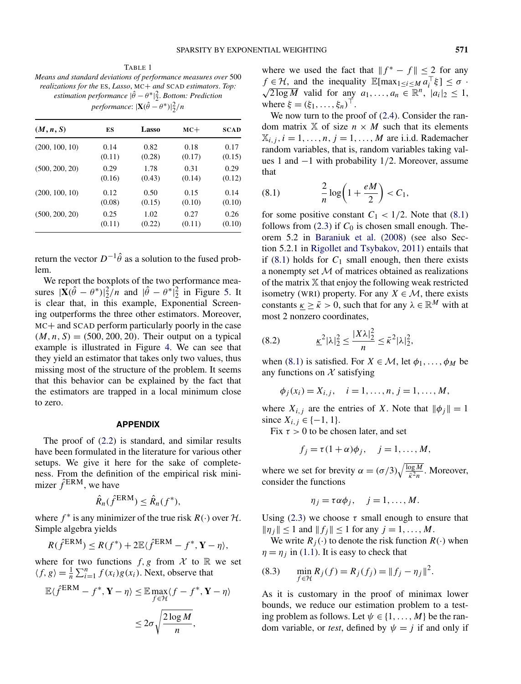<span id="page-13-0"></span>TABLE 1 *Means and standard deviations of performance measures over* 500 *realizations for the* ES, *Lasso*, MC+ *and* SCAD *estimators*. *Top: estimation performance*  $|\hat{\theta} - \theta^*|_2^2$ . *Bottom: Prediction*  $performance: |\mathbf{X}(\hat{\theta} - \theta^*)|_2^2/n$ 

| (M, n, S)      | ES     | Lasso  | $MC+$  | <b>SCAD</b> |
|----------------|--------|--------|--------|-------------|
| (200, 100, 10) | 0.14   | 0.82   | 0.18   | 0.17        |
|                | (0.11) | (0.28) | (0.17) | (0.15)      |
| (500, 200, 20) | 0.29   | 1.78   | 0.31   | 0.29        |
|                | (0.16) | (0.43) | (0.14) | (0.12)      |
| (200, 100, 10) | 0.12   | 0.50   | 0.15   | 0.14        |
|                | (0.08) | (0.15) | (0.10) | (0.10)      |
| (500, 200, 20) | 0.25   | 1.02   | 0.27   | 0.26        |
|                | (0.11) | (0.22) | (0.11) | (0.10)      |

return the vector  $D^{-1}\hat{\theta}$  as a solution to the fused problem.

We report the boxplots of the two performance measures  $|\mathbf{\hat{X}}(\hat{\theta} - \theta^*)|^2 \hat{Z}/n$  and  $|\hat{\theta} - \theta^*|^2 \hat{Z}$  in Figure [5.](#page-15-0) It is clear that, in this example, Exponential Screening outperforms the three other estimators. Moreover, MC+ and SCAD perform particularly poorly in the case  $(M, n, S) = (500, 200, 20)$ . Their output on a typical example is illustrated in Figure [4.](#page-14-0) We can see that they yield an estimator that takes only two values, thus missing most of the structure of the problem. It seems that this behavior can be explained by the fact that the estimators are trapped in a local minimum close to zero.

## **APPENDIX**

The proof of [\(2.2\)](#page-2-0) is standard, and similar results have been formulated in the literature for various other setups. We give it here for the sake of completeness. From the definition of the empirical risk minimizer  $\hat{f}^{\text{ERM}}$ , we have

$$
\hat{R}_n(\hat{f}^{\text{ERM}}) \leq \hat{R}_n(f^*),
$$

where  $f^*$  is any minimizer of the true risk  $R(\cdot)$  over  $H$ . Simple algebra yields

$$
R(\hat{f}^{\text{ERM}}) \leq R(f^*) + 2\mathbb{E}\langle \hat{f}^{\text{ERM}} - f^*, \mathbf{Y} - \eta \rangle,
$$

where for two functions  $f, g$  from  $\mathcal X$  to  $\mathbb R$  we set  $\langle f, g \rangle = \frac{1}{n} \sum_{i=1}^{n} f(x_i) g(x_i)$ . Next, observe that

$$
\mathbb{E}\langle \hat{f}^{\text{ERM}} - f^*, \mathbf{Y} - \eta \rangle \leq \mathbb{E} \max_{f \in \mathcal{H}} \langle f - f^*, \mathbf{Y} - \eta \rangle
$$
  

$$
\leq 2\sigma \sqrt{\frac{2\log M}{n}},
$$

where we used the fact that  $||f^* - f|| \le 2$  for any  $f \in \mathcal{H}$ , and the inequality  $\mathbb{E}[\max_{1 \leq i \leq M} a_i^\top \xi] \leq \sigma$ .  $\sqrt{2 \log M}$  valid for any  $a_1, \ldots, a_n \in \mathbb{R}^n$ ,  $|a_i|_2 \leq 1$ , where  $\xi = (\xi_1, \ldots, \xi_n)^\top$ .

We now turn to the proof of  $(2.4)$ . Consider the random matrix  $X$  of size  $n \times M$  such that its elements  $\mathbb{X}_{i,j}, i = 1, \ldots, n, j = 1, \ldots, M$  are i.i.d. Rademacher random variables, that is, random variables taking values 1 and −1 with probability 1*/*2. Moreover, assume that

$$
(8.1) \qquad \qquad \frac{2}{n}\log\left(1+\frac{eM}{2}\right) < C_1,
$$

for some positive constant  $C_1 < 1/2$ . Note that (8.1) follows from  $(2.3)$  if  $C_0$  is chosen small enough. Theorem 5.2 in [Baraniuk et al.](#page-16-0) [\(2008\)](#page-16-0) (see also Section 5.2.1 in [Rigollet and Tsybakov, 2011\)](#page-17-0) entails that if  $(8.1)$  holds for  $C_1$  small enough, then there exists a nonempty set  $M$  of matrices obtained as realizations of the matrix X that enjoy the following weak restricted isometry (WRI) property. For any  $X \in \mathcal{M}$ , there exists constants  $k \geq \bar{k} > 0$ , such that for any  $\lambda \in \mathbb{R}^M$  with at most 2 nonzero coordinates,

$$
(8.2) \qquad \qquad \underline{\kappa}^2 |\lambda|_2^2 \le \frac{|X\lambda|_2^2}{n} \le \bar{\kappa}^2 |\lambda|_2^2,
$$

when (8.1) is satisfied. For  $X \in \mathcal{M}$ , let  $\phi_1, \ldots, \phi_M$  be any functions on  $X$  satisfying

$$
\phi_j(x_i) = X_{i,j}, \quad i = 1, ..., n, j = 1, ..., M,
$$

where  $X_{i,j}$  are the entries of *X*. Note that  $\|\phi_j\| = 1$ since  $X_{i,j} \in \{-1, 1\}.$ 

Fix  $\tau > 0$  to be chosen later, and set

$$
f_j = \tau (1 + \alpha) \phi_j, \quad j = 1, \dots, M,
$$

where we set for brevity  $\alpha = (\sigma/3)\sqrt{\frac{\log M}{\bar{\kappa}^2 n}}$ . Moreover, consider the functions

$$
\eta_j = \tau \alpha \phi_j, \quad j = 1, \dots, M.
$$

Using  $(2.3)$  we choose  $\tau$  small enough to ensure that  $||\eta_j|| \leq 1$  and  $||f_j|| \leq 1$  for any  $j = 1, ..., M$ .

We write  $R_j(\cdot)$  to denote the risk function  $R(\cdot)$  when  $\eta = \eta_i$  in [\(1.1\)](#page-0-0). It is easy to check that

(8.3) 
$$
\min_{f \in \mathcal{H}} R_j(f) = R_j(f_j) = ||f_j - \eta_j||^2.
$$

As it is customary in the proof of minimax lower bounds, we reduce our estimation problem to a testing problem as follows. Let  $\psi \in \{1, ..., M\}$  be the random variable, or *test*, defined by  $\psi = j$  if and only if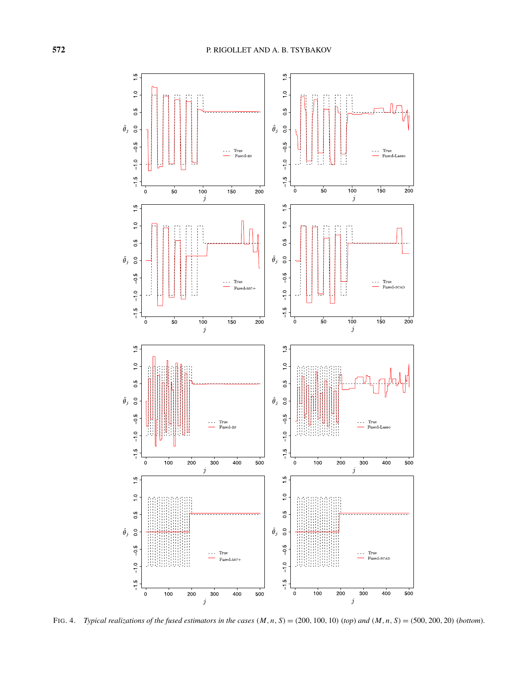<span id="page-14-0"></span>

FIG. 4. Typical realizations of the fused estimators in the cases  $(M, n, S) = (200, 100, 10)$  (top) and  $(M, n, S) = (500, 200, 20)$  (bottom).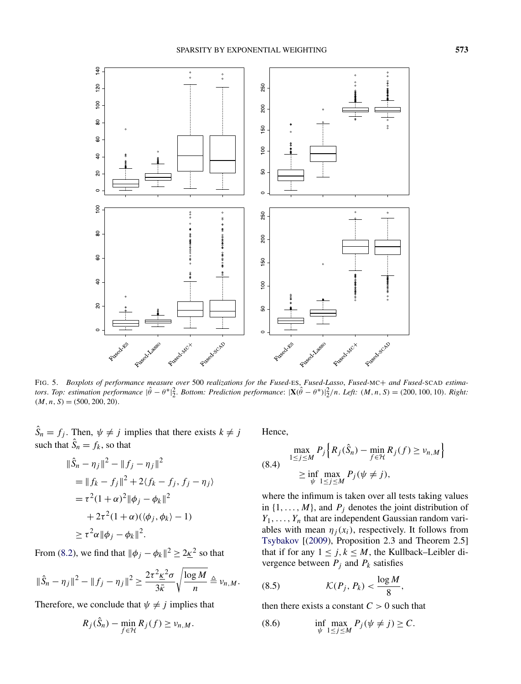<span id="page-15-0"></span>

FIG. 5. *Boxplots of performance measure over* 500 *realizations for the Fused-*ES, *Fused-Lasso*, *Fused-*MC+ *and Fused-*SCAD *estima*tors. Top: estimation performance  $|\hat{\theta} - \theta^*|_2^2$ . Bottom: Prediction performance:  $|\mathbf{X}(\hat{\theta} - \theta^*)|_2^2/n$ . Left:  $(M, n, S) = (200, 100, 10)$ . Right:  $(M, n, S) = (500, 200, 20)$ .

 $\hat{S}_n = f_j$ . Then,  $\psi \neq j$  implies that there exists  $k \neq j$ such that  $\hat{S}_n = f_k$ , so that

$$
\|\hat{S}_n - \eta_j\|^2 - \|f_j - \eta_j\|^2
$$
  
= 
$$
\|f_k - f_j\|^2 + 2\langle f_k - f_j, f_j - \eta_j \rangle
$$
  
= 
$$
\tau^2 (1 + \alpha)^2 \|\phi_j - \phi_k\|^2
$$
  
+ 
$$
2\tau^2 (1 + \alpha)(\langle \phi_j, \phi_k \rangle - 1)
$$
  
\$\geq \tau^2 \alpha \|\phi\_j - \phi\_k\|^2\$.

From [\(8.2\)](#page-13-0), we find that  $\|\phi_j - \phi_k\|^2 \geq 2\underline{k}^2$  so that

$$
\|\hat{S}_n-\eta_j\|^2-\|f_j-\eta_j\|^2\geq \frac{2\tau^2\underline{\kappa}^2\sigma}{3\bar{\kappa}}\sqrt{\frac{\log M}{n}}\triangleq \nu_{n,M}.
$$

Therefore, we conclude that  $\psi \neq j$  implies that

$$
R_j(\hat{S}_n) - \min_{f \in \mathcal{H}} R_j(f) \ge \nu_{n,M}.
$$

Hence,

$$
\max_{1 \le j \le M} P_j \Big\{ R_j(\hat{S}_n) - \min_{f \in \mathcal{H}} R_j(f) \ge \nu_{n,M} \Big\}
$$
  
(8.4)
$$
\ge \inf_{\psi} \max_{1 \le j \le M} P_j(\psi \ne j),
$$

where the infimum is taken over all tests taking values in  $\{1, \ldots, M\}$ , and  $P_j$  denotes the joint distribution of  $Y_1, \ldots, Y_n$  that are independent Gaussian random variables with mean  $\eta_i(x_i)$ , respectively. It follows from [Tsybakov](#page-17-0) [[\(2009\)](#page-17-0), Proposition 2.3 and Theorem 2.5] that if for any  $1 \leq j, k \leq M$ , the Kullback–Leibler divergence between  $P_j$  and  $P_k$  satisfies

$$
(8.5) \t\t\t\t\t\mathcal{K}(P_j, P_k) < \frac{\log M}{8},
$$

then there exists a constant  $C > 0$  such that

(8.6) 
$$
\inf_{\psi} \max_{1 \le j \le M} P_j(\psi \ne j) \ge C.
$$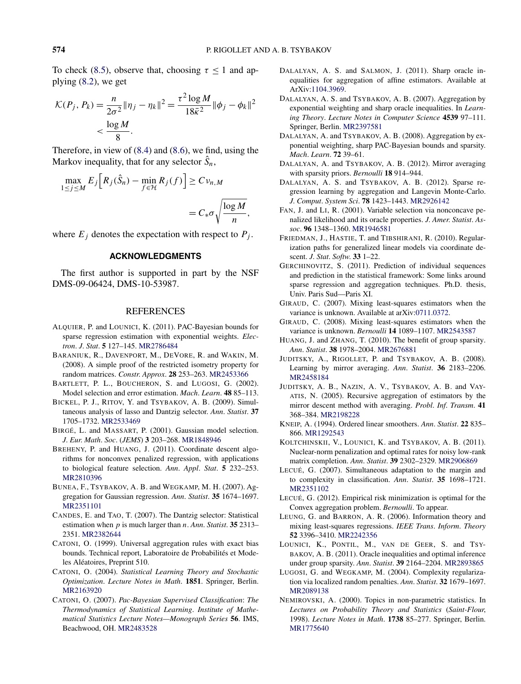<span id="page-16-0"></span>To check [\(8.5\)](#page-15-0), observe that, choosing  $\tau \leq 1$  and applying [\(8.2\)](#page-13-0), we get

$$
\mathcal{K}(P_j, P_k) = \frac{n}{2\sigma^2} \|\eta_j - \eta_k\|^2 = \frac{\tau^2 \log M}{18\bar{\kappa}^2} \|\phi_j - \phi_k\|^2 \n< \frac{\log M}{8}.
$$

Therefore, in view of [\(8.4\)](#page-15-0) and [\(8.6\)](#page-15-0), we find, using the Markov inequality, that for any selector  $\hat{S}_n$ ,

$$
\max_{1 \le j \le M} E_j \Big[ R_j(\hat{S}_n) - \min_{f \in \mathcal{H}} R_j(f) \Big] \ge C v_{n,M}
$$
  
=  $C_* \sigma \sqrt{\frac{\log M}{n}},$ 

where  $E_j$  denotes the expectation with respect to  $P_j$ .

# **ACKNOWLEDGMENTS**

The first author is supported in part by the NSF DMS-09-06424, DMS-10-53987.

#### REFERENCES

- ALQUIER, P. and LOUNICI, K. (2011). PAC-Bayesian bounds for sparse regression estimation with exponential weights. *Electron*. *J*. *Stat*. **5** 127–145. [MR2786484](http://www.ams.org/mathscinet-getitem?mr=2786484)
- BARANIUK, R., DAVENPORT, M., DEVORE, R. and WAKIN, M. (2008). A simple proof of the restricted isometry property for random matrices. *Constr*. *Approx*. **28** 253–263. [MR2453366](http://www.ams.org/mathscinet-getitem?mr=2453366)
- BARTLETT, P. L., BOUCHERON, S. and LUGOSI, G. (2002). Model selection and error estimation. *Mach*. *Learn*. **48** 85–113.
- BICKEL, P. J., RITOV, Y. and TSYBAKOV, A. B. (2009). Simultaneous analysis of lasso and Dantzig selector. *Ann*. *Statist*. **37** 1705–1732. [MR2533469](http://www.ams.org/mathscinet-getitem?mr=2533469)
- BIRGÉ, L. and MASSART, P. (2001). Gaussian model selection. *J*. *Eur*. *Math*. *Soc*. (*JEMS*) **3** 203–268. [MR1848946](http://www.ams.org/mathscinet-getitem?mr=1848946)
- BREHENY, P. and HUANG, J. (2011). Coordinate descent algorithms for nonconvex penalized regression, with applications to biological feature selection. *Ann*. *Appl*. *Stat*. **5** 232–253. [MR2810396](http://www.ams.org/mathscinet-getitem?mr=2810396)
- BUNEA, F., TSYBAKOV, A. B. and WEGKAMP, M. H. (2007). Aggregation for Gaussian regression. *Ann*. *Statist*. **35** 1674–1697. [MR2351101](http://www.ams.org/mathscinet-getitem?mr=2351101)
- CANDES, E. and TAO, T. (2007). The Dantzig selector: Statistical estimation when *p* is much larger than *n*. *Ann*. *Statist*. **35** 2313– 2351. [MR2382644](http://www.ams.org/mathscinet-getitem?mr=2382644)
- CATONI, O. (1999). Universal aggregation rules with exact bias bounds. Technical report, Laboratoire de Probabilités et Modeles Aléatoires, Preprint 510.
- CATONI, O. (2004). *Statistical Learning Theory and Stochastic Optimization*. *Lecture Notes in Math*. **1851**. Springer, Berlin. [MR2163920](http://www.ams.org/mathscinet-getitem?mr=2163920)
- CATONI, O. (2007). *Pac-Bayesian Supervised Classification*: *The Thermodynamics of Statistical Learning*. *Institute of Mathematical Statistics Lecture Notes—Monograph Series* **56**. IMS, Beachwood, OH. [MR2483528](http://www.ams.org/mathscinet-getitem?mr=2483528)
- DALALYAN, A. S. and SALMON, J. (2011). Sharp oracle inequalities for aggregation of affine estimators. Available at ArXiv[:1104.3969.](http://arxiv.org/abs/1104.3969)
- DALALYAN, A. S. and TSYBAKOV, A. B. (2007). Aggregation by exponential weighting and sharp oracle inequalities. In *Learning Theory*. *Lecture Notes in Computer Science* **4539** 97–111. Springer, Berlin. [MR2397581](http://www.ams.org/mathscinet-getitem?mr=2397581)
- DALALYAN, A. and TSYBAKOV, A. B. (2008). Aggregation by exponential weighting, sharp PAC-Bayesian bounds and sparsity. *Mach*. *Learn*. **72** 39–61.
- DALALYAN, A. and TSYBAKOV, A. B. (2012). Mirror averaging with sparsity priors. *Bernoulli* **18** 914–944.
- DALALYAN, A. S. and TSYBAKOV, A. B. (2012). Sparse regression learning by aggregation and Langevin Monte-Carlo. *J*. *Comput*. *System Sci*. **78** 1423–1443. [MR2926142](http://www.ams.org/mathscinet-getitem?mr=2926142)
- FAN, J. and LI, R. (2001). Variable selection via nonconcave penalized likelihood and its oracle properties. *J*. *Amer*. *Statist*. *Assoc*. **96** 1348–1360. [MR1946581](http://www.ams.org/mathscinet-getitem?mr=1946581)
- FRIEDMAN, J., HASTIE, T. and TIBSHIRANI, R. (2010). Regularization paths for generalized linear models via coordinate descent. *J*. *Stat*. *Softw*. **33** 1–22.
- GERCHINOVITZ, S. (2011). Prediction of individual sequences and prediction in the statistical framework: Some links around sparse regression and aggregation techniques. Ph.D. thesis, Univ. Paris Sud—Paris XI.
- GIRAUD, C. (2007). Mixing least-squares estimators when the variance is unknown. Available at arXiv[:0711.0372.](http://arxiv.org/abs/0711.0372)
- GIRAUD, C. (2008). Mixing least-squares estimators when the variance is unknown. *Bernoulli* **14** 1089–1107. [MR2543587](http://www.ams.org/mathscinet-getitem?mr=2543587)
- HUANG, J. and ZHANG, T. (2010). The benefit of group sparsity. *Ann*. *Statist*. **38** 1978–2004. [MR2676881](http://www.ams.org/mathscinet-getitem?mr=2676881)
- JUDITSKY, A., RIGOLLET, P. and TSYBAKOV, A. B. (2008). Learning by mirror averaging. *Ann*. *Statist*. **36** 2183–2206. [MR2458184](http://www.ams.org/mathscinet-getitem?mr=2458184)
- JUDITSKY, A. B., NAZIN, A. V., TSYBAKOV, A. B. and VAY-ATIS, N. (2005). Recursive aggregation of estimators by the mirror descent method with averaging. *Probl*. *Inf*. *Transm*. **41** 368–384. [MR2198228](http://www.ams.org/mathscinet-getitem?mr=2198228)
- KNEIP, A. (1994). Ordered linear smoothers. *Ann*. *Statist*. **22** 835– 866. [MR1292543](http://www.ams.org/mathscinet-getitem?mr=1292543)
- KOLTCHINSKII, V., LOUNICI, K. and TSYBAKOV, A. B. (2011). Nuclear-norm penalization and optimal rates for noisy low-rank matrix completion. *Ann*. *Statist*. **39** 2302–2329. [MR2906869](http://www.ams.org/mathscinet-getitem?mr=2906869)
- LECUÉ, G. (2007). Simultaneous adaptation to the margin and to complexity in classification. *Ann*. *Statist*. **35** 1698–1721. [MR2351102](http://www.ams.org/mathscinet-getitem?mr=2351102)
- LECUÉ, G. (2012). Empirical risk minimization is optimal for the Convex aggregation problem. *Bernoulli*. To appear.
- LEUNG, G. and BARRON, A. R. (2006). Information theory and mixing least-squares regressions. *IEEE Trans*. *Inform*. *Theory* **52** 3396–3410. [MR2242356](http://www.ams.org/mathscinet-getitem?mr=2242356)
- LOUNICI, K., PONTIL, M., VAN DE GEER, S. and TSY-BAKOV, A. B. (2011). Oracle inequalities and optimal inference under group sparsity. *Ann*. *Statist*. **39** 2164–2204. [MR2893865](http://www.ams.org/mathscinet-getitem?mr=2893865)
- LUGOSI, G. and WEGKAMP, M. (2004). Complexity regularization via localized random penalties. *Ann*. *Statist*. **32** 1679–1697. [MR2089138](http://www.ams.org/mathscinet-getitem?mr=2089138)
- NEMIROVSKI, A. (2000). Topics in non-parametric statistics. In *Lectures on Probability Theory and Statistics* (*Saint-Flour*, 1998). *Lecture Notes in Math*. **1738** 85–277. Springer, Berlin. [MR1775640](http://www.ams.org/mathscinet-getitem?mr=1775640)